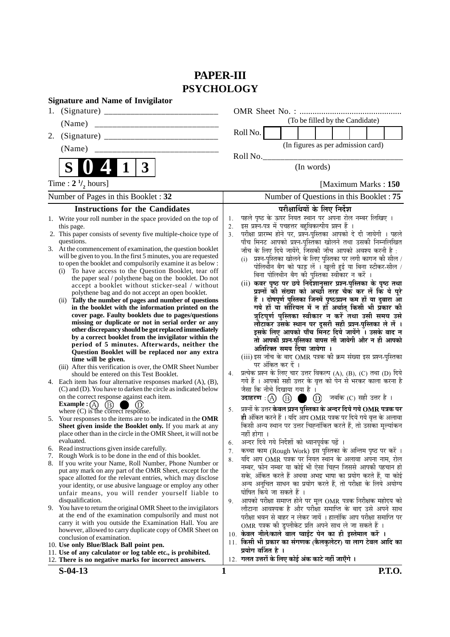# **PAPER-III PSYCHOLOGY**

| <b>Signature and Name of Invigilator</b>                                                                                      |                                         |                                                                                                                           |  |  |  |  |  |
|-------------------------------------------------------------------------------------------------------------------------------|-----------------------------------------|---------------------------------------------------------------------------------------------------------------------------|--|--|--|--|--|
| 1.                                                                                                                            |                                         |                                                                                                                           |  |  |  |  |  |
| (Name)                                                                                                                        |                                         | (To be filled by the Candidate)                                                                                           |  |  |  |  |  |
| 2.                                                                                                                            |                                         | Roll No.                                                                                                                  |  |  |  |  |  |
| (Name)                                                                                                                        |                                         | (In figures as per admission card)                                                                                        |  |  |  |  |  |
|                                                                                                                               |                                         | Roll No.                                                                                                                  |  |  |  |  |  |
| S<br>$\boldsymbol{3}$<br>1                                                                                                    |                                         | (In words)                                                                                                                |  |  |  |  |  |
| Time : $2 \frac{1}{2}$ hours]                                                                                                 |                                         | [Maximum Marks: 150]                                                                                                      |  |  |  |  |  |
| Number of Pages in this Booklet: 32                                                                                           | Number of Questions in this Booklet: 75 |                                                                                                                           |  |  |  |  |  |
| <b>Instructions for the Candidates</b>                                                                                        |                                         | परीक्षार्थियों के लिए निर्देश                                                                                             |  |  |  |  |  |
| 1. Write your roll number in the space provided on the top of                                                                 | 1.                                      | पहले पृष्ठ के ऊपर नियत स्थान पर अपना रोल नम्बर लिखिए ।                                                                    |  |  |  |  |  |
| this page.<br>2. This paper consists of seventy five multiple-choice type of                                                  | 2.<br>3.                                | इस प्रश्न-पत्र में पचहत्तर बहुविकल्पीय प्रश्न हैं ।<br>परीक्षा प्रारम्भ होने पर, प्रश्न-पुस्तिका आपको दे दी जायेगी । पहले |  |  |  |  |  |
| questions.                                                                                                                    |                                         | पाँच मिनट आपको प्रश्न-पुस्तिका खोलने तथा उसकी निम्नलिखित                                                                  |  |  |  |  |  |
| 3. At the commencement of examination, the question booklet                                                                   |                                         | जाँच के लिए दिये जायेंगे, जिसकी जाँच आपको अवश्य करनी है :                                                                 |  |  |  |  |  |
| will be given to you. In the first 5 minutes, you are requested<br>to open the booklet and compulsorily examine it as below : |                                         | प्रश्न-पुस्तिका खोलने के लिए पुस्तिका पर लगी कागज की सील /<br>(i)                                                         |  |  |  |  |  |
| (i) To have access to the Question Booklet, tear off                                                                          |                                         | पोलिर्थीन बैग को फाड़ लें । खुली हुई या बिना स्टीकर-सील /<br>बिना पोलिथीन बैग की पुस्तिका स्वीकार न करें ।                |  |  |  |  |  |
| the paper seal / polythene bag on the booklet. Do not                                                                         |                                         | (ii) कवर पृष्ठ पर छपे निर्देशानुसार प्रश्न-पुस्तिका के पृष्ठ तथा                                                          |  |  |  |  |  |
| accept a booklet without sticker-seal / without<br>polythene bag and do not accept an open booklet.                           |                                         | प्रश्नों की संख्या को अच्छी तरह चैक कर लें कि ये पूरे                                                                     |  |  |  |  |  |
| (ii) Tally the number of pages and number of questions                                                                        |                                         | हैं । दोषपूर्ण पुस्तिका जिनमें पृष्ठ/प्रश्न कम हों या दुबारा आ                                                            |  |  |  |  |  |
| in the booklet with the information printed on the                                                                            |                                         | गये हों या सीरियल में न हों अर्थात् किसी भी प्रकार की                                                                     |  |  |  |  |  |
| cover page. Faulty booklets due to pages/questions<br>missing or duplicate or not in serial order or any                      |                                         | त्रुटिपूर्ण पुस्तिका स्वीकार न करें तथा उसी समय उसे<br>लौटाकर उसके स्थान पर दूसरी सही प्रश्न-पुस्तिका ले लें ।            |  |  |  |  |  |
| other discrepancy should be got replaced immediately                                                                          |                                         | इसके लिए आपको पाँच मिनट दिये जायेंगे । उसके बाद न                                                                         |  |  |  |  |  |
| by a correct booklet from the invigilator within the                                                                          |                                         | तो आपकी प्रश्न-पुस्तिका वापस ली जायेगी और न ही आपको                                                                       |  |  |  |  |  |
| period of 5 minutes. Afterwards, neither the<br>Question Booklet will be replaced nor any extra                               |                                         | अतिरिक्त समय दिया जायेगा ।                                                                                                |  |  |  |  |  |
| time will be given.                                                                                                           |                                         | (iii) इस जाँच के बाद OMR पत्रक की क्रम संख्या इस प्रश्न-पुस्तिका                                                          |  |  |  |  |  |
| (iii) After this verification is over, the OMR Sheet Number                                                                   | 4.                                      | पर अंकित कर दें ।<br>प्रत्येक प्रश्न के लिए चार उत्तर विकल्प (A), (B), (C) तथा (D) दिये                                   |  |  |  |  |  |
| should be entered on this Test Booklet.<br>4. Each item has four alternative responses marked (A), (B),                       |                                         | गये हैं । आपको सही उत्तर के वृत्त को पेन से भरकर काला करना है                                                             |  |  |  |  |  |
| (C) and (D). You have to darken the circle as indicated below                                                                 |                                         | जैसा कि नीचे दिखाया गया है ।                                                                                              |  |  |  |  |  |
| on the correct response against each item.                                                                                    |                                         | उदाहरण: (A) (B) (D) जबकि (C) सही उत्तर है।                                                                                |  |  |  |  |  |
| Example : $(A)$<br>(B)<br>where (C) is the correct response.                                                                  | 5.                                      | प्रश्नों के उत्तर <b>केवल प्रश्न पुस्तिका के अन्दर दिये गये OMR पत्रक पर</b>                                              |  |  |  |  |  |
| 5. Your responses to the items are to be indicated in the OMR                                                                 |                                         | ही अंकित करने हैं । यदि आप OMR पत्रक पर दिये गये वृत्त के अलावा                                                           |  |  |  |  |  |
| Sheet given inside the Booklet only. If you mark at any                                                                       |                                         | किसी अन्य स्थान पर उत्तर चिह्नांकित करते हैं, तो उसका मूल्यांकन                                                           |  |  |  |  |  |
| place other than in the circle in the OMR Sheet, it will not be<br>evaluated.                                                 |                                         | नहीं होगा ।<br>अन्दर दिये गये निर्देशों को ध्यानपूर्वक पढ़ें ।                                                            |  |  |  |  |  |
| 6. Read instructions given inside carefully.                                                                                  | 6.<br>7.                                | कच्चा काम (Rough Work) इस पुस्तिका के अन्तिम पृष्ठ पर करें ।                                                              |  |  |  |  |  |
| 7. Rough Work is to be done in the end of this booklet.                                                                       | 8.                                      | यदि आप OMR पत्रक पर नियत स्थान के अलावा अपना नाम, रोल                                                                     |  |  |  |  |  |
| 8. If you write your Name, Roll Number, Phone Number or<br>put any mark on any part of the OMR Sheet, except for the          |                                         | नम्बर, फोन नम्बर या कोई भी ऐसा चिह्न जिससे आपकी पहचान हो                                                                  |  |  |  |  |  |
| space allotted for the relevant entries, which may disclose                                                                   |                                         | सके, अंकित करते हैं अथवा अभद्र भाषा का प्रयोग करते हैं, या कोई                                                            |  |  |  |  |  |
| your identity, or use abusive language or employ any other                                                                    |                                         | अन्य अनुचित साधन का प्रयोग करते हैं, तो परीक्षा के लिये अयोग्य<br>घोषित किये जा सकते हैं ।                                |  |  |  |  |  |
| unfair means, you will render yourself liable to<br>disqualification.                                                         | 9.                                      | आपको परीक्षा समाप्त होने पर मूल OMR पत्रक निरीक्षक महोदय को                                                               |  |  |  |  |  |
| 9. You have to return the original OMR Sheet to the invigilators                                                              |                                         | लौटाना आवश्यक है और परीक्षा समाप्ति के बाद उसे अपने साथ                                                                   |  |  |  |  |  |
| at the end of the examination compulsorily and must not                                                                       |                                         | परीक्षा भवन से बाहर न लेकर जायें । हालांकि आप परीक्षा समाप्ति पर                                                          |  |  |  |  |  |
| carry it with you outside the Examination Hall. You are<br>however, allowed to carry duplicate copy of OMR Sheet on           |                                         | OMR पत्रक की डुप्लीकेट प्रति अपने साथ ले जा सकते हैं ।                                                                    |  |  |  |  |  |
| conclusion of examination.                                                                                                    |                                         | 10. केवल नीले/काले बाल प्वाईंट पेन का ही इस्तेमाल करें ।                                                                  |  |  |  |  |  |
| 10. Use only Blue/Black Ball point pen.                                                                                       | 11.                                     | किसी भी प्रकार का संगणक (कैलकुलेटर) या लाग टेबल आदि का<br>प्रयोग वर्जित है ।                                              |  |  |  |  |  |
| 11. Use of any calculator or log table etc., is prohibited.<br>12. There is no negative marks for incorrect answers.          |                                         | 12. गलत उत्तरों के लिए कोई अंक काटे नहीं जाएँगे ।                                                                         |  |  |  |  |  |
| $S-04-13$                                                                                                                     | 1                                       | <b>P.T.O.</b>                                                                                                             |  |  |  |  |  |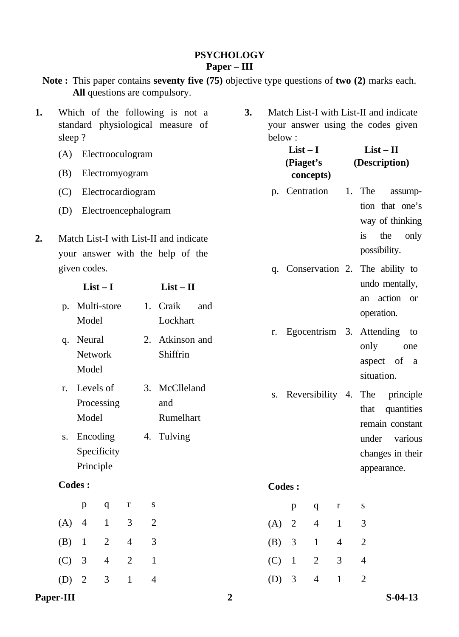# **PSYCHOLOGY Paper – III**

|    |                                                                                |                                   |                      |                |                | All questions are compulsory.                                              | Note: This paper contains seventy five (75) objective type questions of two (2) marks each. |  |               |                                                                             |                |                |                                                      |                                            |                |
|----|--------------------------------------------------------------------------------|-----------------------------------|----------------------|----------------|----------------|----------------------------------------------------------------------------|---------------------------------------------------------------------------------------------|--|---------------|-----------------------------------------------------------------------------|----------------|----------------|------------------------------------------------------|--------------------------------------------|----------------|
| 1. | Which of the following is not a<br>standard physiological measure of<br>sleep? |                                   |                      |                | 3.             | below:                                                                     | $List-I$                                                                                    |  |               | Match List-I with List-II and indicate<br>your answer using the codes given | $List - II$    |                |                                                      |                                            |                |
|    | (A)                                                                            |                                   | Electrooculogram     |                |                |                                                                            |                                                                                             |  |               | (Piaget's                                                                   |                |                | (Description)                                        |                                            |                |
|    | (B)                                                                            |                                   | Electromyogram       |                |                |                                                                            |                                                                                             |  |               |                                                                             | concepts)      |                |                                                      |                                            |                |
|    | (C)                                                                            |                                   | Electrocardiogram    |                |                |                                                                            |                                                                                             |  |               | p. Centration                                                               |                | 1.             | The                                                  | tion that one's                            | assump-        |
|    | (D)                                                                            |                                   | Electroencephalogram |                |                |                                                                            |                                                                                             |  |               |                                                                             |                |                |                                                      | way of thinking                            |                |
| 2. |                                                                                | given codes.                      |                      |                |                | Match List-I with List-II and indicate<br>your answer with the help of the |                                                                                             |  | q.            |                                                                             |                |                | is<br>possibility.<br>Conservation 2. The ability to | the                                        | only           |
|    |                                                                                | $List-I$                          |                      |                |                | $List - II$                                                                |                                                                                             |  |               |                                                                             |                |                |                                                      | undo mentally,                             |                |
|    | p.                                                                             | Multi-store<br>Model              |                      |                |                | 1. Craik<br>Lockhart                                                       | and                                                                                         |  |               |                                                                             |                |                | an<br>operation.                                     | action or                                  |                |
|    | q.                                                                             | Neural<br><b>Network</b><br>Model |                      |                | 2.             | Atkinson and<br>Shiffrin                                                   |                                                                                             |  | r.            |                                                                             |                |                | Egocentrism 3. Attending<br>only<br>situation.       | aspect of                                  | to<br>one<br>a |
|    | r.                                                                             | Levels of<br>Processing<br>Model  |                      |                |                | 3. McClleland<br>and<br>Rumelhart                                          |                                                                                             |  | S.            | Reversibility 4.                                                            |                |                | The<br>that                                          | principle<br>quantities<br>remain constant |                |
|    | S.                                                                             | Encoding<br>Principle             | Specificity          |                |                | 4. Tulving                                                                 |                                                                                             |  |               |                                                                             |                |                | under                                                | changes in their<br>appearance.            | various        |
|    |                                                                                | Codes:                            |                      |                |                |                                                                            |                                                                                             |  | <b>Codes:</b> |                                                                             |                |                |                                                      |                                            |                |
|    |                                                                                | $\mathbf{p}$                      | $\mathbf{q}$         | $\mathbf r$    | S              |                                                                            |                                                                                             |  |               | $\, {\bf p}$                                                                | q              | $\bf r$        | S                                                    |                                            |                |
|    | (A)                                                                            | $\overline{4}$                    | $\mathbf{1}$         | $\mathfrak{Z}$ | $\mathbf{2}$   |                                                                            |                                                                                             |  | (A)           | $\sqrt{2}$                                                                  | $\overline{4}$ | $\mathbf{1}$   | $\mathfrak{Z}$                                       |                                            |                |
|    | (B)                                                                            | $\mathbf{1}$                      | $\overline{2}$       | $\overline{4}$ | 3              |                                                                            |                                                                                             |  | (B)           | 3                                                                           | $\mathbf{1}$   | $\overline{4}$ | $\mathbf{2}$                                         |                                            |                |
|    | (C)                                                                            | $\mathfrak{Z}$                    | $\overline{4}$       | $\sqrt{2}$     | $\mathbf{1}$   |                                                                            |                                                                                             |  | (C)           | $\mathbf{1}$                                                                | $\mathbf{2}$   | 3              | $\overline{4}$                                       |                                            |                |
|    | (D)                                                                            | $\sqrt{2}$                        | $\mathfrak{Z}$       | $\mathbf{1}$   | $\overline{4}$ |                                                                            |                                                                                             |  | (D)           | $\mathfrak{Z}$                                                              | $\overline{4}$ | $\mathbf{1}$   | $\mathbf{2}$                                         |                                            |                |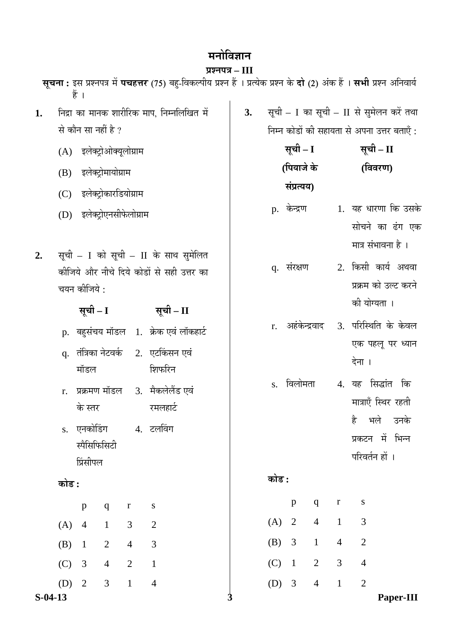# **मनोविज्ञान**

#### **प्रश्नपत्र – III**

**सूचना :** इस प्रश्नपत्र में **पचहत्तर** (75) बहु-विकल्पीय प्रश्न हैं । प्रत्येक प्रश्न के **दो** (2) अंक हैं । सभी प्रश्न अनिवार्य हें ।

- 1. निद्रा का मानक शारीरिक माप. निम्नलिखित में से कौन सा नहीं है ?
	- (A) इलेक्टोओक्यलोग्राम
	- (B) इलेक्ट्रोमायोग्राम
	- (C) इलेक्ट्रोकारडियोग्राम
	- (D) इलेक्टोएनसीफेलोग्राम
- 2. सूची I को सूची II के साथ सुमेलित कीजिये और नीचे दिये कोडों से सही उत्तर का चयन कीजिये :

| $\lambda$ $\mathbf{A}$ $\mathbf{I}$ $\mathbf{I}$ | $x - u$                               |
|--------------------------------------------------|---------------------------------------|
|                                                  | p. बहुसंचय मॉडल 1. क्रेक एवं लॉकहार्ट |

**ÃÖæ"Öß – I ÃÖæ"Öß – II** 

- q. तंत्रिका नेटवर्क मॉडल 2. एटकिंसन एवं शिफरिन
- r. प्रक्रमण मॉडल के स्तर 3. मैकलेलैंड एवं रमलहार्ट
- s. एनकोडिंग स्पैसिफिसिटी प्रिंसीपल 4. टलविंग

# **कोड़ :**

|         | p              | q              | r | S |
|---------|----------------|----------------|---|---|
| (A)     | $\overline{4}$ | 1              | 3 | 2 |
| $(B)$ 1 |                | $\overline{2}$ | 4 | 3 |
| $(C)$ 3 |                | 4              | 2 | 1 |
| $(D)$ 2 |                | 3              | ı |   |

- 3. सूची I का सूची II से सुमेलन करें तथा निम्न कोडों की सहायता से अपना उत्तर बताएँ :
	- **ÃÖæ"Öß I ÃÖæ"Öß II (ׯֵÖÖ•Öê Ûêú ÃÖÓ¯ÖÏŸµÖµÖ) (विवरण)**
	- p. केन्द्रण 1. यह धारणा कि उसके सोचने का ढंग एक मात्र संभावना है ।
	- q. संरक्षण 2. किसी कार्य अथवा प्रक्रम को उल्ट करने की योग्यता ।
	- r. अहंकेन्द्रवाद 3. परिस्थिति के केवल एक पहलू पर ध्यान देना ।
	- s. विलोमता 4. यह सिद्धांत कि मात्राएँ स्थिर रहती है भले उनके प्रकटन में भिन्न परिवर्तन हों ।

# **कोड :**

|         | p | q | r | S                     |
|---------|---|---|---|-----------------------|
| $(A)$ 2 |   | 4 |   | 3                     |
| $(B)$ 3 |   | 1 | 4 | 2                     |
| $(C)$ 1 |   | 2 | 3 |                       |
| (D)     | 3 |   |   | $\mathcal{D}_{\cdot}$ |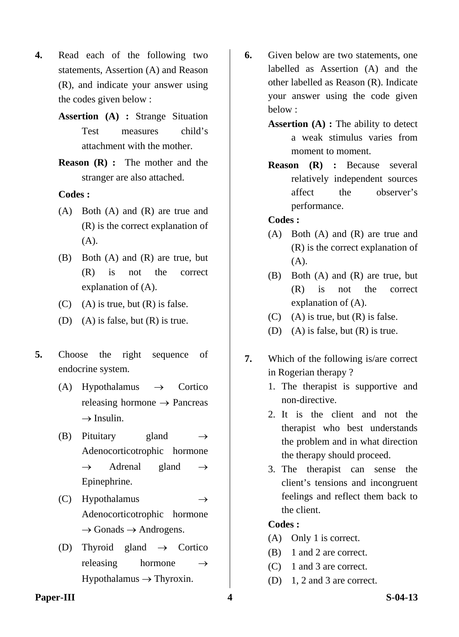- **4.** Read each of the following two statements, Assertion (A) and Reason (R), and indicate your answer using the codes given below :
	- **Assertion (A) :** Strange Situation Test measures child's attachment with the mother.
	- **Reason (R) :** The mother and the stranger are also attached.

- (A) Both (A) and (R) are true and (R) is the correct explanation of (A).
- (B) Both (A) and (R) are true, but (R) is not the correct explanation of (A).
- $(C)$  (A) is true, but  $(R)$  is false.
- (D) (A) is false, but (R) is true.
- **5.** Choose the right sequence of endocrine system.
	- (A) Hypothalamus  $\rightarrow$  Cortico releasing hormone  $\rightarrow$  Pancreas  $\rightarrow$  Insulin.
	- (B) Pituitary gland  $\rightarrow$ Adenocorticotrophic hormone  $\rightarrow$  Adrenal gland  $\rightarrow$ Epinephrine.
	- (C) Hypothalamus  $\rightarrow$ Adenocorticotrophic hormone  $\rightarrow$  Gonads  $\rightarrow$  Androgens.
	- (D) Thyroid gland  $\rightarrow$  Cortico releasing hormone  $\rightarrow$  $Hypothalamus \rightarrow Thyroxin.$
- **6.** Given below are two statements, one labelled as Assertion (A) and the other labelled as Reason (R). Indicate your answer using the code given below :
	- **Assertion (A) :** The ability to detect a weak stimulus varies from moment to moment.
	- **Reason (R) :** Because several relatively independent sources affect the observer's performance.

#### **Codes :**

- (A) Both (A) and (R) are true and (R) is the correct explanation of (A).
- (B) Both (A) and (R) are true, but (R) is not the correct explanation of (A).
- $(C)$  (A) is true, but  $(R)$  is false.
- (D) (A) is false, but (R) is true.
- **7.** Which of the following is/are correct in Rogerian therapy ?
	- 1. The therapist is supportive and non-directive.
	- 2. It is the client and not the therapist who best understands the problem and in what direction the therapy should proceed.
	- 3. The therapist can sense the client's tensions and incongruent feelings and reflect them back to the client.

# **Codes :**

- (A) Only 1 is correct.
- (B) 1 and 2 are correct.
- (C) 1 and 3 are correct.
- (D) 1, 2 and 3 are correct.

#### **Paper-III** S-04-13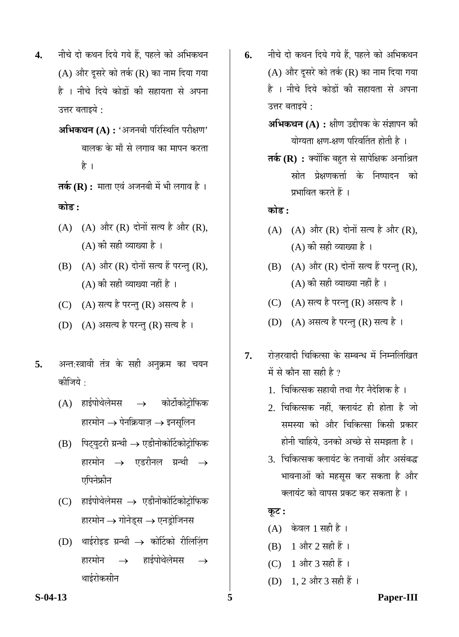- 4. नीचे दो कथन दिये गये हैं, पहले को अभिकथन (A) और दूसरे को तर्क (R) का नाम दिया गया है । नीचे दिये कोडों की सहायता से अपना उत्तर बताइये :
	- **अभिकथन (A) : '**अजनबी परिस्थिति परीक्षण' बालक के माँ से लगाव का मापन करता है ।

**तर्क (R) :** माता एवं अजनबी में भी लगाव है । **कोड :** 

- $(A)$   $(A)$  और  $(R)$  दोनों सत्य है और  $(R)$ ,  $(A)$  की सही व्याख्या है।
- $(B)$   $(A)$  और  $(R)$  दोनों सत्य हैं परन्तु  $(R)$ ,  $(A)$  की सही व्याख्या नहीं है ।
- (C) (A) सत्य है परन्तु (R) असत्य है।
- (D) (A) असत्य है परन्तु (R) सत्य है।
- 5. अन्त:स्त्रावी तंत्र के सही अनुक्रम का चयन कोजिये $\,\cdot\,$ 
	- (A) हाईपोथेलेमस $\rightarrow$  कोर्टोकोटोफिक हारमोन  $\rightarrow$  पेनक्रियाज़  $\rightarrow$  इनसुलिन
	- $(B)$  पिट्युटरी ग्रन्थी  $\rightarrow$  एडीनोकोर्टिकोट्रोफिक हारमोन $\rightarrow$  एडरीनल ग्रन्थी  $\rightarrow$ एपिनेफ्रीन
	- $(C)$  हाईपोथेलेमस $\rightarrow$  एडीनोकोर्टिकोट्रोफिक हारमोन  $\rightarrow$  गोनेड्स  $\rightarrow$  एनड्रोजिनस
	- (D) थाईरोइड ग्रन्थी  $\rightarrow$  कोर्टिको रीलिजिंग हारमोन $\;\;\;\rightarrow\;\;$  हाईपोथेलेमस थाईरोकसीन
- 6. नीचे दो कथन दिये गये हैं, पहले को अभिकथन (A) और दूसरे को तर्क (R) का नाम दिया गया है । नीचे दिये कोडों की सहायता से अपना उत्तर बताइये :
	- $\mathbf{M}\mathbf{\hat{H}}$ कथन (A) : क्षीण उद्दीपक के संज्ञापन की योग्यता क्षण-क्षण परिवर्तित होती है $\pm$
	- **तर्क (R) :** क्योंकि बहुत से सापेक्षिक अनाश्रित स्रोत प्रेक्षणकर्त्ता के निष्पादन को प्रभावित करते हैं ।

**कोड :** 

- $(A)$   $(A)$  और  $(R)$  दोनों सत्य है और  $(R)$ ,  $(A)$  की सही व्याख्या है।
- $(B)$   $(A)$  और  $(R)$  दोनों सत्य हैं परन्तु  $(R)$ ,  $(A)$  की सही व्याख्या नहीं है ।
- (C) (A) सत्य है परन्तु (R) असत्य है।
- (D) (A) असत्य है परन्तु (R) सत्य है।
- 7. रोजरवादी चिकित्सा के सम्बन्ध में निम्नलिखित में से कौन सा सही है ?
	- 1. चिकित्सक सहायी तथा गैर नैदेशिक है)।
	- 2. चिकित्सक नहीं. क्लायंट ही होता है जो समस्या को और चिकित्सा किसी प्रकार होनी चाहिये, उनको अच्छे से समझता है ।
	- 3. चिकित्सक क्लायंट के तनावों और असंबद्ध भावनाओं को महसस कर सकता है और क्लायंट को वापस प्रकट कर सकता है ।

**Ûæú™ü :** 

- $(A)$  केवल 1 सही है।
- (B) 1 और 2 सही हैं ।
- (C) 1 और 3 सही हैं ।
- (D) 1, 2 और 3 सही हैं ।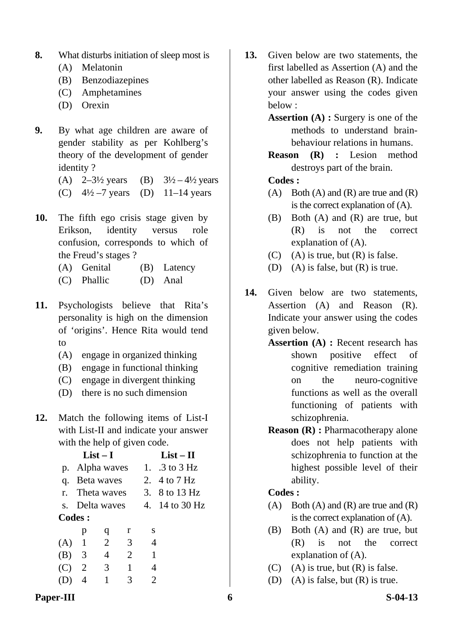- **8.** What disturbs initiation of sleep most is
	- (A) Melatonin
	- (B) Benzodiazepines
	- (C) Amphetamines
	- (D) Orexin
- **9.** By what age children are aware of gender stability as per Kohlberg's theory of the development of gender identity ?
	- (A)  $2-3\frac{1}{2}$  years (B)  $3\frac{1}{2} 4\frac{1}{2}$  years
	- (C)  $4\frac{1}{2} 7$  years (D) 11–14 years
- **10.** The fifth ego crisis stage given by Erikson, identity versus role confusion, corresponds to which of the Freud's stages ?
	- (A) Genital (B) Latency
	- (C) Phallic (D) Anal
- **11.** Psychologists believe that Rita's personality is high on the dimension of 'origins'. Hence Rita would tend to
	- (A) engage in organized thinking
	- (B) engage in functional thinking
	- (C) engage in divergent thinking
	- (D) there is no such dimension
- **12.** Match the following items of List-I with List-II and indicate your answer with the help of given code.

|         | $List-I$ |                | $List - II$ |                |                                  |
|---------|----------|----------------|-------------|----------------|----------------------------------|
|         |          | p. Alpha waves |             |                | 1. $.3 \text{ to } 3 \text{ Hz}$ |
| q.      |          | Beta waves     |             |                | 2. $4 \text{ to } 7 \text{ Hz}$  |
|         |          | r. Theta waves |             |                | 3. 8 to 13 Hz                    |
|         |          | s. Delta waves |             |                | 4. 14 to 30 Hz                   |
|         | Codes:   |                |             |                |                                  |
|         | p        | q              | r           | S              |                                  |
| $(A)$ 1 |          | $\overline{2}$ | 3           | 4              |                                  |
|         | $(B)$ 3  | 4              | 2           | $\overline{1}$ |                                  |
| (C)     | 2        | 3 <sup>1</sup> | 1           | 4              |                                  |
|         | 4        | 1              | 3           | 2              |                                  |
|         |          |                |             |                |                                  |

- **13.** Given below are two statements, the first labelled as Assertion (A) and the other labelled as Reason (R). Indicate your answer using the codes given below :
	- **Assertion (A) :** Surgery is one of the methods to understand brainbehaviour relations in humans.
	- **Reason (R) :** Lesion method destroys part of the brain.

- (A) Both (A) and (R) are true and  $(R)$ is the correct explanation of (A).
- (B) Both (A) and (R) are true, but (R) is not the correct explanation of (A).
- $(C)$  (A) is true, but  $(R)$  is false.
- (D) (A) is false, but (R) is true.
- **14.** Given below are two statements, Assertion (A) and Reason (R). Indicate your answer using the codes given below.
	- **Assertion (A) : Recent research has** shown positive effect of cognitive remediation training on the neuro-cognitive functions as well as the overall functioning of patients with schizophrenia.
	- **Reason (R) :** Pharmacotherapy alone does not help patients with schizophrenia to function at the highest possible level of their ability.

- $(A)$  Both  $(A)$  and  $(R)$  are true and  $(R)$ is the correct explanation of (A).
- (B) Both (A) and (R) are true, but (R) is not the correct explanation of (A).
- $(C)$  (A) is true, but  $(R)$  is false.
- (D) (A) is false, but (R) is true.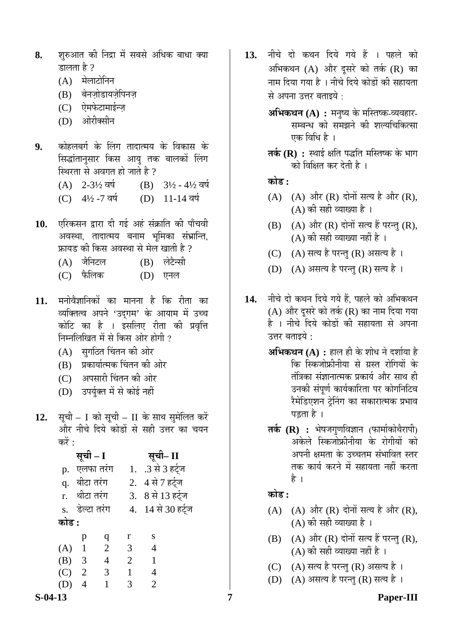- **8.** शुरुआत की निद्रा में सबसे अधिक बाधा क्या डालता है  $?$ 
	- (A) मेलाटोनिन
	- (B) बेनज़ोडायज़ेपिनज
	- (C) ऐमफेटामाईन्ज़
	- (D) ओरीक्सीन
- **9.** कोहलबर्ग के लिंग तादात्मय के विकास के सिद्धांतानुसार किस आयु तक बालकों लिंग स्थिरता से अवगत हो जाते है ?
	- (A)  $2-3\frac{1}{2}$  and (B)  $3\frac{1}{2}$   $4\frac{1}{2}$  and
	- (C)  $4\frac{1}{2}$ -7 वर्ष (D) 11-14 वर्ष
- 10. **एरिकसन द्वारा दी गई अहं संक्राति की** पाँचवी अवस्था, तादात्मय बनाम भूमिका संभ्रान्ति, फ्रायड की किस अवस्था से मेल खाती है ?
	- (A) जैनिटल (B) लेटैन्सी
	- (C) ±îú×»ÖÛú (D) ‹®Ö»Ö
- 11. मनोवैज्ञानिकों का मानना है कि रीता का व्यक्तित्व अपने 'उदगम' के आयाम में उच्च कोटि का है । इसलिए रीता की प्रवृत्ति निम्नलिखित में से किस ओर होगी ?
	- (A) सुगठित चिंतन की ओर
	- (B) प्रकार्यात्मक चिंतन की ओर
	- (C) अपसारी चिंतन की ओर
	- (D) उपर्युक्त में से कोई नहीं
- 12. सूची I को सूची II के साथ सुमेलित करें <u>और नीचे दिये कोडों से सही उत्तर का चयन</u> करें $\cdot$

|         | सूची – I       |                          |              | सूची– II           |
|---------|----------------|--------------------------|--------------|--------------------|
| p.      | एलफा तरंग      |                          |              | 1. .3 से 3 हर्ट्ज  |
|         | q. बीटा तरंग   |                          |              | 2. 4 से 7 हर्ट्ज   |
|         | r. थीटा तरंग   |                          |              | 3. 8 से 13 हर्ट्ज  |
|         | s. डेल्टा तरंग |                          |              | 4. 14 से 30 हर्ट्ज |
| कोड :   |                |                          |              |                    |
|         | p              | $\mathbf q$              | r            | S                  |
| $(A)$ 1 |                | $\overline{\phantom{a}}$ | 3            | $\overline{4}$     |
| (B)     | 3              | $\overline{4}$           | 2            | $\mathbf{1}$       |
| (C)     | $\overline{2}$ | $\overline{3}$           | $\mathbf{1}$ | $\overline{4}$     |
|         | 4              | $\mathbf{1}$             | 3            | $\overline{2}$     |
|         |                |                          |              |                    |

- 13. नीचे दो कथन दिये गये हैं । पहले को अभिकथन  $(A)$  और दूसरे को तर्क  $(R)$  का नाम दिया गया है । नीचे दिये कोडों की सहायता से अपना उत्तर बताइये  $\cdot$ 
	- $\mathbf{M}\mathbf{\hat{H}}$ कथन  $(\mathbf{A})$  : मनुष्य के मस्तिष्क-व्यवहार-सम्बन्ध को समझने की शल्यचिकित्सा एक विधि है ।
	- **तर्क (R) :** स्थाई क्षति पद्धति मस्तिष्क के भाग को विक्षित कर देती है ।

**कोड :** 

- $(A)$   $(A)$  और  $(R)$  दोनों सत्य है और  $(R)$ ,  $(A)$  की सही व्याख्या है।
- $(B)$   $(A)$  और  $(R)$  दोनों सत्य हैं परन्तु  $(R)$ ,  $(A)$  की सही व्याख्या नहीं है ।
- (C) (A) सत्य है परन्तु (R) असत्य है।
- (D) (A) असत्य है परन्तु (R) सत्य है।
- 14. नीचे दो कथन दिये गये हैं. पहले को अभिकथन  $(A)$  और दूसरे को तर्क  $(R)$  का नाम दिया गया है । नीचे दिये कोडों की सहायता से अपना उत्तर बताइये  $\cdot$ 
	- **अभिकथन (A) :** हाल ही के शोध ने दर्शाया है कि स्किजोफ्रीनीया से ग्रस्त रोगियों के तंत्रिका संज्ञानात्मक प्रकार्य और साथ ही उनकी संपूर्ण कार्यकारिता पर कोगनिटिव रैमेडिएशन ट्रेनिंग का सकारात्मक प्रभाव पड़ता है ।
	- **तर्क (R) :** भेषजगुणविज्ञान (फार्माकोथैरापी) अकेले स्किजोफ्रीनीया के रोगीयों को अपनी क्षमता के उच्चतम संभावित स्तर तक कार्य करने में सहायता नहीं करता है ।

# <u>कोड :</u>

- $(A)$   $(A)$  और  $(R)$  दोनों सत्य है और  $(R)$ , (A) की सही व्याख्या है ।
- $(B)$   $(A)$  और  $(R)$  दोनों सत्य हैं परन्तु  $(R)$ ,  $(A)$  की सही व्याख्या नहीं है ।
- (C) (A) सत्य है परन्तु (R) असत्य है।
- (D) (A) असत्य है परन्तु (R) सत्य है।

**S-04-13 7 Paper-III**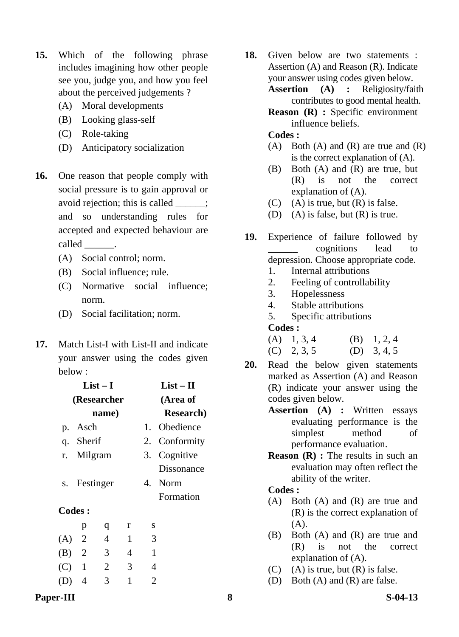- **15.** Which of the following phrase includes imagining how other people see you, judge you, and how you feel about the perceived judgements ?
	- (A) Moral developments
	- (B) Looking glass-self
	- (C) Role-taking
	- (D) Anticipatory socialization
- **16.** One reason that people comply with social pressure is to gain approval or avoid rejection; this is called  $\cdot$ ; and so understanding rules for accepted and expected behaviour are called \_\_\_\_\_\_\_.
	- (A) Social control; norm.
	- (B) Social influence; rule.
	- (C) Normative social influence; norm.
	- (D) Social facilitation; norm.
- **17.** Match List-I with List-II and indicate your answer using the codes given below :

|         | $List-I$      |                | $List - II$ |              |                   |
|---------|---------------|----------------|-------------|--------------|-------------------|
|         |               | (Researcher    |             |              | (Area of          |
|         |               | name)          |             |              | <b>Research</b> ) |
|         | p. Asch       |                |             |              | 1. Obedience      |
|         | q. Sherif     |                |             |              | 2. Conformity     |
|         | r. Milgram    |                |             |              | 3. Cognitive      |
|         |               |                |             |              | Dissonance        |
|         |               | s. Festinger   |             |              | 4. Norm           |
|         |               |                |             |              | Formation         |
|         | <b>Codes:</b> |                |             |              |                   |
|         | p             | q              | r           | S            |                   |
| $(A)$ 2 |               | $\overline{4}$ | 1           | 3            |                   |
| (B) 2   |               | 3              | 4           | $\mathbf{1}$ |                   |
| $(C)$ 1 |               | $\overline{2}$ | 3           | 4            |                   |
|         | 4             | 3              | 1           | 2            |                   |
|         |               |                |             |              |                   |

**18.** Given below are two statements : Assertion (A) and Reason (R). Indicate your answer using codes given below. **Assertion (A) :** Religiosity/faith contributes to good mental health.

> **Reason (R) :** Specific environment influence beliefs.

#### **Codes :**

- $(A)$  Both  $(A)$  and  $(R)$  are true and  $(R)$ is the correct explanation of (A).
- (B) Both (A) and (R) are true, but (R) is not the correct explanation of (A).
- $(C)$  (A) is true, but  $(R)$  is false.
- (D) (A) is false, but  $(R)$  is true.
- **19.** Experience of failure followed by \_\_\_\_\_\_ cognitions lead to depression. Choose appropriate code.
	- 1. Internal attributions
	- 2. Feeling of controllability
	- 3. Hopelessness
	- 4. Stable attributions
	- 5. Specific attributions

#### **Codes :**

| $(A)$ 1, 3, 4 | $(B)$ 1, 2, 4 |
|---------------|---------------|
| $(C)$ 2, 3, 5 | (D) $3, 4, 5$ |

- **20.** Read the below given statements marked as Assertion (A) and Reason (R) indicate your answer using the codes given below.
	- **Assertion (A) :** Written essays evaluating performance is the simplest method of performance evaluation.
	- **Reason** (**R**) : The results in such an evaluation may often reflect the ability of the writer.

- (A) Both (A) and (R) are true and (R) is the correct explanation of (A).
- (B) Both (A) and (R) are true and (R) is not the correct explanation of (A).
- $(C)$  (A) is true, but  $(R)$  is false.
- (D) Both (A) and (R) are false.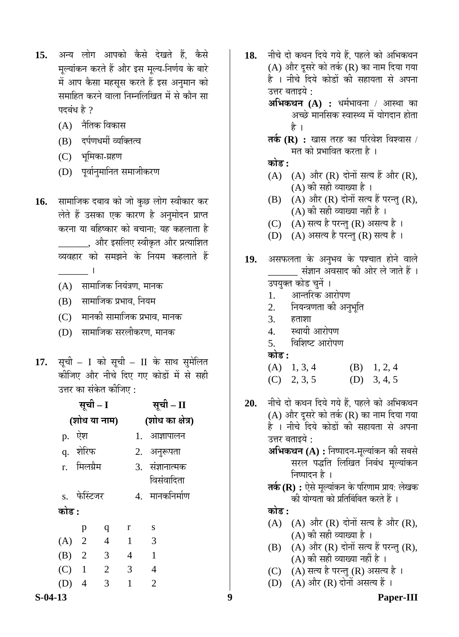- 15. अन्य लोग आपको कैसे देखते हैं, कैसे मुल्यांकन करते हैं और इस मुल्य-निर्णय के बारे में आप कैसा महसूस करते हैं इस अनुमान को समाहित करने वाला निम्नलिखित में से कौन सा पदबंध $\hat{\mathbf{z}}$  ?
	- $(A)$  नैतिक विकास
	- (B) दर्पणधर्मी व्यक्तित्व
	- (C) भूमिका-ग्रहण
	- (D) पूर्वानुमानित समाजीकरण
- 16. सामाजिक दबाव को जो कुछ लोग स्वीकार कर लेते हैं उसका एक कारण है अनुमोदन प्राप्त करना या बहिष्कार को बचाना: यह कहलाता है \_, और इसलिए स्वीकृत और प्रत्याशित व्यवहार को समझने के नियम कहलाते हैं  $\sim$ 
	- $(A)$  सामाजिक नियंत्रण, मानक
	- (B) सामाजिक प्रभाव, नियम
	- (C)  $\,$  मानकी सामाजिक प्रभाव. मानक
	- (D) सामाजिक सरलीकरण, मानक
- 17. सूची I को सूची II के साथ सुमेलित कीजिए और नीचे दिए गए कोडों में से सही उत्तर का संकेत कीजिए :

| सूची – I                                | सूची – II           | 20.   | नीचे दो कथन दिये गये हैं, पहले को अभिकथन                                               |
|-----------------------------------------|---------------------|-------|----------------------------------------------------------------------------------------|
| (शोध या नाम)                            | (शोध का क्षेत्र)    |       | (A) और दूसरे को तर्क (R) का नाम दिया गया<br>है । नीचे दिये कोडों की सहायता से अपना     |
| p. ऐश                                   | 1. आज्ञापालन        |       | उत्तर बताइये :                                                                         |
| q. शेरिफ                                | 2. अनुरूपता         |       | अभिकथन (A) : निष्पादन-मूल्यांकन की सबसे                                                |
| मिलग्रैम<br>r.                          | 3. संज्ञानात्मक     |       | सरल पद्धति लिखित निबंध मूल्यांकन                                                       |
|                                         | विसंवादिता          |       | निष्पादन है ।                                                                          |
| s. फेस्टिजर                             | 4. मानकनिर्माण      |       | तर्क (R) : ऐसे मूल्यांकन के परिणाम प्राय: लेखक<br>की योग्यता को प्रतिबिंबित करते हैं । |
| कोड :                                   |                     | कोड : |                                                                                        |
| p<br>q                                  | ${\bf S}$<br>r      |       | (A) (A) और (R) दोनों सत्य है और (R),                                                   |
| $\overline{2}$<br>$\overline{4}$<br>(A) | 3<br>$\overline{1}$ |       | (A) की सही व्याख्या है ।                                                               |
| 3<br>2<br>(B)                           | $\overline{4}$      | (B)   | (A) और (R) दोनों सत्य हैं परन्तु (R),<br>(A) की सही व्याख्या नहीं है ।                 |
| 2<br>(C)                                | 3<br>4              |       | (C) (A) सत्य है परन्तु (R) असत्य है।                                                   |
| (D)<br>3<br>$\overline{4}$              | $\overline{2}$<br>1 |       | (D) (A) और (R) दोनों असत्य हैं ।                                                       |
| $S-04-13$                               |                     | 9     | <b>Paper-III</b>                                                                       |

- 18. नीचे दो कथन दिये गये हैं. पहले को अभिकथन  $(A)$  और दूसरे को तर्क  $(R)$  का नाम दिया गया है । नीचे दिये कोडों की सहायता से अपना उत्तर बताइये : **अभिकथन (A) :** धर्मभावना / आस्था का अच्छे मानसिक स्वास्थ्य में योगदान होता है । **तर्क (R) :** खास तरह का परिवेश विश्वास / मत को प्रभावित करता है। **कोड :**  $(A)$   $(A)$  और  $(R)$  दोनों सत्य हैं और  $(R)$ ,  $(A)$  की सही व्याख्या है ।  $(B)$   $(A)$  और  $(R)$  दोनों सत्य हैं परन्तु  $(R)$ , (A) की सही व्याख्या नहीं है ।  $(C)$   $(A)$  सत्य है परन्तु  $(R)$  असत्य है । (D) (A) असत्य है परन्तु (R) सत्य है। 19. असफलता के अनुभव के पश्चात होने वाले \_\_\_\_\_\_ ÃÖÓ–ÖÖ®Ö †¾ÖÃÖÖ¤ü Ûúß †Öê¸ü »Öê •ÖÖŸÖê Æïü … उपयुक्त कोड चुनें । 1. – आन्तरिक आरोपण 2. नियन्त्रणता को अनुभृति  $3.$   $\overline{6}$   $\overline{6}$   $\overline{1}$ 4. स्थायी आरोपण 5. विशिष्ट आरोपण **कोड़ :** (A)  $1, 3, 4$  (B)  $1, 2, 4$  $(C)$  2, 3, 5  $(D)$  3, 4, 5 20. नीचे दो कथन दिये गये हैं. पहले को अभिकथन  $(A)$  और दूसरे को तर्क  $(R)$  का नाम दिया गया है । नीचे दिये कोडों की सहायता से अपना उत्तर बताइये : **अभिकथन (A) :** निष्पादन-मूल्यांकन की सबसे सरल पद्धति लिखित निबंध मूल्यांकन निष्पादन है । **तर्क (R) :** ऐसे मृल्यांकन के परिणाम प्राय: लेखक की योग्यता को प्रतिबिंबित करते हैं । **कोड :**  $(A)$   $(A)$  और  $(R)$  दोनों सत्य है और  $(R)$ , (A) की सही व्याख्या है ।  $(B)$   $(A)$  और  $(R)$  दोनों सत्य हैं परन्तु  $(R)$ ,  $(A)$  की सही व्याख्या नहीं है ।
	- (C)  $(A)$  सत्य है परन्तु (R) असत्य है ।
	- $(D)$   $(A)$  और  $(R)$  दोनों असत्य हैं ।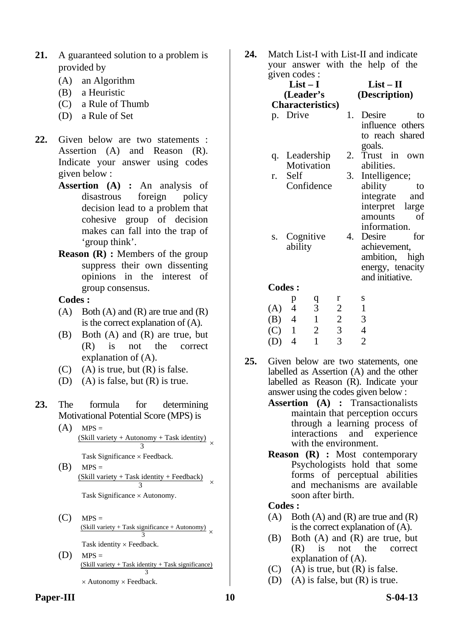- **21.** A guaranteed solution to a problem is provided by
	- (A) an Algorithm
	- (B) a Heuristic
	- (C) a Rule of Thumb
	- (D) a Rule of Set
- **22.** Given below are two statements : Assertion (A) and Reason (R). Indicate your answer using codes given below :
	- **Assertion (A) :** An analysis of disastrous foreign policy decision lead to a problem that cohesive group of decision makes can fall into the trap of 'group think'.
	- **Reason (R) :** Members of the group suppress their own dissenting opinions in the interest of group consensus.

- $(A)$  Both  $(A)$  and  $(R)$  are true and  $(R)$ is the correct explanation of (A).
- (B) Both (A) and (R) are true, but (R) is not the correct explanation of (A).
- $(C)$  (A) is true, but  $(R)$  is false.
- (D) (A) is false, but  $(R)$  is true.
- **23.** The formula for determining Motivational Potential Score (MPS) is
- $(A)$  MPS =  $\frac{\text{(Skill variety + Automomy + Task identity)}}{3}$ 
	- Task Significance × Feedback.
- $(B)$  MPS =  $\frac{(Skill variety + Task identity + Feedback)}{3} \times$ Task Significance × Autonomy.
- $(C)$  MPS =  $\frac{\text{(Skill variety + Task significance + Automomy)}{3} \times$ Task identity × Feedback.
	- $(D)$  MPS =  $(Skill variety + Task identity + Task identity)$  Task significance) 3  $\times$  Autonomy  $\times$  Feedback.

**24.** Match List-I with List-II and indicate your answer with the help of the given codes :

|     | $\mu$ value $\mu$        |   |                |    |                  |  |
|-----|--------------------------|---|----------------|----|------------------|--|
|     | $List-I$                 |   |                |    | $List-II$        |  |
|     | (Leader's                |   |                |    | (Description)    |  |
|     | <b>Characteristics</b> ) |   |                |    |                  |  |
|     | p. Drive                 |   |                |    | 1. Desire<br>to  |  |
|     |                          |   |                |    | influence others |  |
|     |                          |   |                |    | to reach shared  |  |
|     |                          |   |                |    | goals.           |  |
|     | q. Leadership            |   |                |    | 2. Trust in own  |  |
|     | Motivation               |   |                |    | abilities.       |  |
| r.  | Self                     |   |                | 3. | Intelligence;    |  |
|     | Confidence               |   |                |    | ability<br>to    |  |
|     |                          |   |                |    | integrate<br>and |  |
|     |                          |   |                |    | interpret large  |  |
|     |                          |   |                |    | amounts<br>of    |  |
|     |                          |   |                |    | information.     |  |
|     | s. Cognitive             |   |                | 4. | Desire<br>for    |  |
|     | ability                  |   |                |    | achievement,     |  |
|     |                          |   |                |    | ambition, high   |  |
|     |                          |   |                |    | energy, tenacity |  |
|     |                          |   |                |    | and initiative.  |  |
|     | <b>Codes:</b>            |   |                |    |                  |  |
|     | p                        | q | r              |    | S                |  |
| (A) | $\overline{4}$           | 3 | $\overline{2}$ |    |                  |  |
|     |                          |   |                |    |                  |  |

|         | ∼ |   | - | . . |
|---------|---|---|---|-----|
| (A)     | 4 | 3 | 2 |     |
| (B)     | 4 |   | 2 | 3   |
| $(C)$ 1 |   | 2 | 3 |     |
| (D)     | 4 |   | 3 | 2   |
|         |   |   |   |     |

- **25.** Given below are two statements, one labelled as Assertion (A) and the other labelled as Reason (R). Indicate your answer using the codes given below :
	- **Assertion (A) :** Transactionalists maintain that perception occurs through a learning process of interactions and experience with the environment.
	- **Reason (R) :** Most contemporary Psychologists hold that some forms of perceptual abilities and mechanisms are available soon after birth.

- (A) Both (A) and (R) are true and  $(R)$ is the correct explanation of (A).
- (B) Both (A) and (R) are true, but (R) is not the correct explanation of (A).
- $(C)$  (A) is true, but  $(R)$  is false.
- (D) (A) is false, but  $(R)$  is true.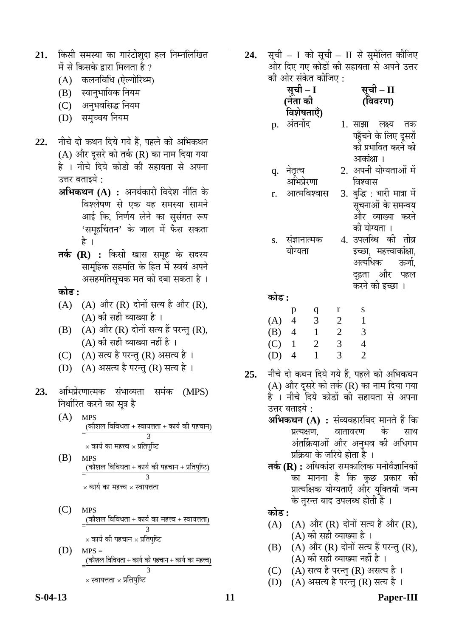- 21. किसी समस्या का गारंटीशुदा हल निम्नलिखित में से किसके द्वारा मिलता है ?
	- (A) कलनविधि (ऐल्गोरिथ्म)
	- (B) स्वानुभाविक नियम
	- (C) अनुभवसिद्ध नियम
	- (D) समुच्चय नियम
- 22. नीचे दो कथन दिये गये हैं, पहले को अभिकथन (A) और दूसरे को तर्क (R) का नाम दिया गया है । नीचे दिये कोडों की सहायता से अपना उत्तर बताइये :
	- **अभिकथन (A) :** अनर्थकारी विदेश नीति के विश्लेषण से एक यह समस्या सामने आई कि, निर्णय लेने का सुसंगत रूप 'समूहचिंतन' के जाल में फँस सकता है ।
	- **तर्क (R) :** किसी खास समूह के सदस्य सामूहिक सहमति के हित में स्वयं अपने असहमतिसूचक मत को दबा सकता है ।
	- <u>कोड :</u>
	- $(A)$   $(A)$  और  $(R)$  दोनों सत्य है और  $(R)$ , (A) की सही व्याख्या है ।
	- $(B)$   $(A)$  और  $(R)$  दोनों सत्य हैं परन्तु  $(R)$ , (A) की सही व्याख्या नहीं है ।
	- (C) (A) सत्य है परन्तु (R) असत्य है।
	- (D)  $(A)$  असत्य है परन्तु (R) सत्य है ।
- **23.** अभिप्रेरणात्मक संभाव्यता समंक (MPS) निर्धारित करने का सूत्र है
- (A) MPS \_(कौशल विविधता + स्वायत्तता + कार्य की पहचान)<br>=  $\times$  कार्य का महत्त्व  $\times$  प्रतिपुष्टि
	- (B) MPS  $\frac{1}{\sqrt{2}}\left( \frac{1}{\sqrt{2}}\frac{\partial^2 \phi}{\partial x^2}\right)$ 3  $\times$  कार्य का महत्त्व  $\times$  स्वायत्तता
	- (C) MPS  $\overline{a}$ (कौशल विविधता + कार्य का महत्त्व + स्वायत्तता) 3  $\times$  कार्य की पहचान  $\times$  प्रतिपुष्टि
	- $(D)$  MPS =  $($ कौशल विविधता $+$  कार्य की पहचान $+$  कार्य का महत्त्व) 3  $\times$  स्वायत्तता  $\times$  प्रतिपुष्टि

2**4.** सूची – I को सूची – II से सुमेलित कीजिए और दिए गए कोडों की सहायता से अपने उत्तर को ओर संकेत कीजिए :

| सूची – 1   |  |
|------------|--|
| (नेता की   |  |
|            |  |
| विशेषताएँ) |  |

| ы.<br>. .<br>(विवरण) |
|----------------------|
|                      |

<del>ग्रनी</del> II

| p. अंतर्नोद |           | 1. साझा लक्ष्य तक     |  |
|-------------|-----------|-----------------------|--|
|             |           | पहुँचने के लिए दूसरों |  |
|             |           | को प्रभावित करने की   |  |
|             | आकाक्षा । |                       |  |
|             |           |                       |  |

- q. नेतृत्व अभिप्रेरणा<br>आत्मविश्वास 2. अपनी योग्यताओं मे विश्वास
- $r$ . आत्मविश्वास  $\,$  3. बुद्धि : भारी मात्रा में सूचनाओं के समन्वय और व्याख्या करने को योग्यता ।

दृढ़ता और पहल करने की इच्छा ।

s. सज्ञानात्मक योग्यता 4. उपलब्धि की तीव्र इच्छा, महत्त्वाकांक्षा, अत्यधिक ऊर्जा.

**कोड :** 

|     | р | a | r | S |
|-----|---|---|---|---|
| (A) | 4 | 3 | 2 |   |
| (B) | 4 |   | 2 | 3 |
| (C) |   | 2 | 3 | 4 |
| (D) | 4 |   | 3 | 2 |

- 25. नीचे दो कथन दिये गये हैं. पहले को अभिकथन (A) और दूसरे को तर्क (R) का नाम दिया गया है । नीचे दिये कोडों की सहायता से अपना उत्तर बताइये :
	- **अभिकथन (A) :** संव्यवहारविद मानते हैं कि<br>प्रत्यक्षण, वातावरण के साथ वातावरण के साथ अंतर्क्रियाओं और अनुभव की अधिगम प्रक्रिया के जरिये होता है ।
	- **तर्क (R) :** अधिकांश समकालिक मनोवैज्ञानिकों का मानना है कि कुछ प्रकार की प्रात्यक्षिक योग्यताएँ और युक्तियाँ जन्म के तरन्त बाद उपलब्ध होती हैं ।

<u>कोड़ :</u>

- $(A)$   $(A)$  और  $(R)$  दोनों सत्य है और  $(R)$ , (A) की सही व्याख्या है ।
- $(B)$   $(A)$  और  $(R)$  दोनों सत्य हैं परन्तु  $(R)$ , (A) की सही व्याख्या नहीं है ।
- $(C)$   $(A)$  सत्य है परन्तु  $(R)$  असत्य है ।
- (D) (A) असत्य है परन्तु (R) सत्य है।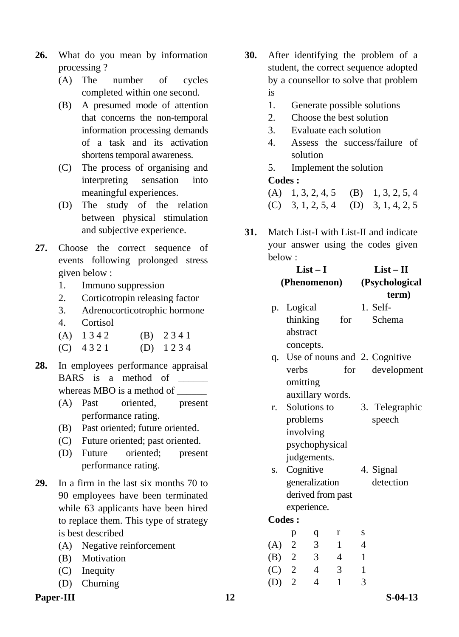- **26.** What do you mean by information processing ?
	- (A) The number of cycles completed within one second.
	- (B) A presumed mode of attention that concerns the non-temporal information processing demands of a task and its activation shortens temporal awareness.
	- (C) The process of organising and interpreting sensation into meaningful experiences.
	- (D) The study of the relation between physical stimulation and subjective experience.
- **27.** Choose the correct sequence of events following prolonged stress given below :
	- 1. Immuno suppression
	- 2. Corticotropin releasing factor
	- 3. Adrenocorticotrophic hormone
	- 4. Cortisol
	- (A)  $1342$  (B)  $2341$
	- $(C)$  4 3 2 1 (D) 1 2 3 4
- **28.** In employees performance appraisal BARS is a method of whereas MBO is a method of
	- (A) Past oriented, present performance rating.
	- (B) Past oriented; future oriented.
	- (C) Future oriented; past oriented.
	- (D) Future oriented; present performance rating.
- **29.** In a firm in the last six months 70 to 90 employees have been terminated while 63 applicants have been hired to replace them. This type of strategy is best described
	- (A) Negative reinforcement
	- (B) Motivation
	- (C) Inequity
	- (D) Churning
- Paper-III S-04-13
- **30.** After identifying the problem of a student, the correct sequence adopted by a counsellor to solve that problem is
	- 1. Generate possible solutions
	- 2. Choose the best solution
	- 3. Evaluate each solution
	- 4. Assess the success/failure of solution
	- 5. Implement the solution  **Codes :**

| (A) $1, 3, 2, 4, 5$ (B) $1, 3, 2, 5, 4$ |  |
|-----------------------------------------|--|
| (C) $3, 1, 2, 5, 4$ (D) $3, 1, 4, 2, 5$ |  |

**31.** Match List-I with List-II and indicate your answer using the codes given below :

| $List-I$ |                                  |                |                  | $List-II$      |                               |  |
|----------|----------------------------------|----------------|------------------|----------------|-------------------------------|--|
|          | (Phenomenon)                     |                |                  |                | (Psychological                |  |
|          |                                  |                |                  |                | term)                         |  |
|          | p. Logical                       |                |                  |                | 1. Self-                      |  |
|          | thinking                         |                | for              |                | Schema                        |  |
|          | abstract                         |                |                  |                |                               |  |
|          | concepts.                        |                |                  |                |                               |  |
| q.       |                                  |                |                  |                | Use of nouns and 2. Cognitive |  |
|          | verbs                            |                | for              |                | development                   |  |
|          | omitting                         |                |                  |                |                               |  |
|          |                                  |                | auxillary words. |                |                               |  |
| r.       |                                  | Solutions to   |                  |                | 3. Telegraphic                |  |
|          | problems                         |                |                  |                | speech                        |  |
|          | involving                        |                |                  |                |                               |  |
|          |                                  | psychophysical |                  |                |                               |  |
|          |                                  | judgements.    |                  |                |                               |  |
|          | s. Cognitive                     |                |                  |                | 4. Signal                     |  |
|          |                                  | generalization |                  |                | detection                     |  |
|          |                                  |                |                  |                |                               |  |
|          | derived from past<br>experience. |                |                  |                |                               |  |
|          | <b>Codes:</b>                    |                |                  |                |                               |  |
|          |                                  |                |                  |                |                               |  |
|          | p                                | q              | r                | S              |                               |  |
|          | $(A)$ 2                          | $\overline{3}$ | $\mathbf{1}$     | $\overline{4}$ |                               |  |
|          | (B) 2 3                          |                | $\overline{4}$   | $\mathbf{1}$   |                               |  |
|          | $(C)$ 2 4                        |                | 3                | $\mathbf{1}$   |                               |  |
| $(D)$ 2  |                                  | $\overline{4}$ | $\mathbf{1}$     | 3              |                               |  |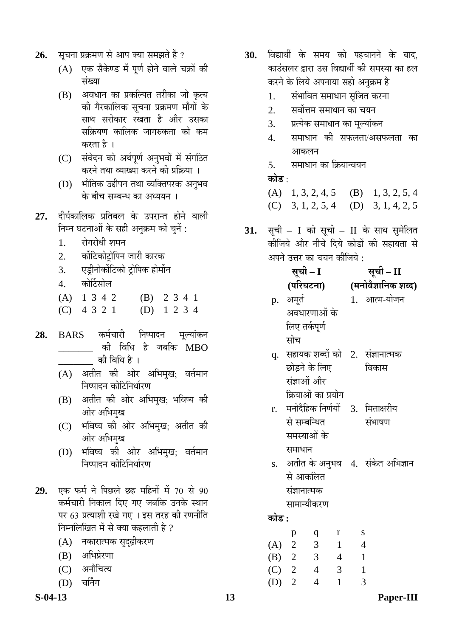- 26. सूचना प्रक्रमण से आप क्या समझते हैं ?
	- $(A)$  एक सैकेण्ड में पूर्ण होने वाले चक्रों की संख्या
	- (B) अवधान का प्रकल्पित तरीका जो कृत्य की गैरकालिक सुचना प्रक्रमण माँगों के साथ सरोकार रखता है और उसका सक्रियण कालिक जागरुकता को कम करता है ।
	- (C) संवेदन को अर्थपूर्ण अनुभवों में संगठित करने तथा व्याख्या करने की प्रक्रिया ।
	- (D) भौतिक उद्दीपन तथा व्यक्तिपरक अनुभव के बीच सम्बन्ध का अध्ययन ।
- 27. दीर्घकालिक प्रतिबल के उपरान्त होने वाली निम्न घटनाओं के सही अनुक्रम को चुनें :
	- 1. रोगरोधी शमन
	- 2. कोंटिकोटोपिन जारी कारक
	- 3. एड्रीनोर्कोटिको ट्रोपिक होर्मोन
	- 4. कोर्टिसोल
	- (A) 1 3 4 2 (B) 2 3 4 1 (C) 4 3 2 1 (D) 1 2 3 4
- **28.** BARS कर्मचारी निष्पादन मूल्यांकन -को विधि है जबकि  $\overline{\mathrm{MBO}}$ को विधि है $\perp$ 
	- (A) अतीत की ओर अभिमुख; वर्तमान निष्पादन कोटिनिर्धारण
	- (B) अतीत की ओर अभिमृख; भविष्य की ओर अभिमुख
	- (C) भविष्य की ओर अभिमुख; अतीत की ओर अभिमुख
	- (D) भविष्य की ओर अभिमुख: वर्तमान निष्पादन कोटिनिर्धारण
- **29.** एक फर्म ने पिछले छह महिनों में 70 से 90 कर्मचारी निकाल दिए गए जबकि उनके स्थान पर 63 प्रत्याशी रखे गए । इस तरह की रणनीति निम्नलिखित में से क्या कहलाती है ?
	- (A) नकारात्मक सुदृढ़ीकरण
	- (B) अभिप्रेरणा
	- (C) अनौचित्य
	- $(D)$  चर्निंग
- 
- 30. विद्यार्थी के समय को पहचानने के बाद, काउंसलर द्वारा उस विद्यार्थी की समस्या का हल करने के लिये अपनाया सही अनुक्रम है
	- 1. संभावित समाधान सृजित करना
	- 2. सर्वोत्तम समाधान का चयन
	- 3. प्रत्येक समाधान का मुल्यांकन
	- 4. समाधान को सफलता/असफलता का आकलन
	- 5. समाधान का क्रियान्वयन

# **कोड़** ·

| (A) $1, 3, 2, 4, 5$ (B) $1, 3, 2, 5, 4$ |  |
|-----------------------------------------|--|
| (C) $3, 1, 2, 5, 4$ (D) $3, 1, 4, 2, 5$ |  |

- 31. सूची I को सूची II के साथ सुमेलित कीजिये और नीचे दिये कोडों की सहायता से अपने उत्तर का चयन कीजिये :
	- **ÃÖæ"Öß I ÃÖæ"Öß II**

# **(¯Ö׸ü'Ö™ü®ÖÖ) (´Ö®ÖÖê¾Öî–ÖÖ×®ÖÛú ¿Ö²¤ü)**

- p. अमर्त अवधारणाओं के लिए तर्कपूर्ण सोच 1. आत्म-योजन
- $\mathbf q$ . सहायक शब्दों को  $\;$  2. संज्ञानात्मक छोडने के लिए संज्ञाओं और क्रियाओं का प्रयोग विकास
- $r$ . मनोदैहिक निर्णयों से सम्बन्धित समस्याओं के समाधान 3. मिताक्षरीय संभाषण
- s. अतीत के अनुभव 4. संकेत अभिज्ञान से आकलित संज्ञानात्मक सामान्यीकरण

# **कोड :**

|     | р              | a | r | S |
|-----|----------------|---|---|---|
| (A) | $\overline{2}$ | 3 |   | 4 |
| (B) | $\overline{2}$ | 3 | 4 |   |
| (C) | 2              | 4 | 3 |   |
| (D) | $\overline{2}$ | 1 |   | 3 |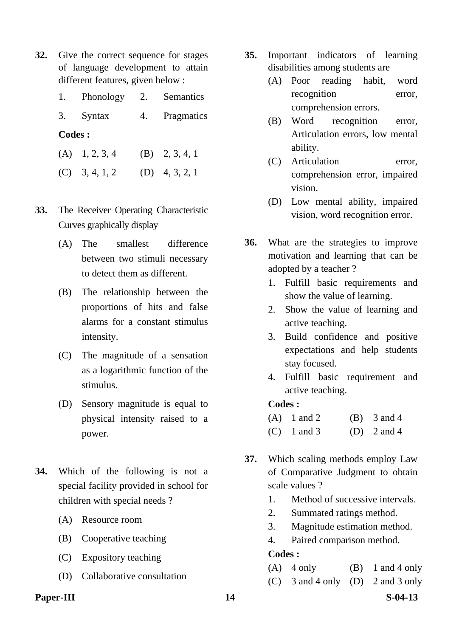- **32.** Give the correct sequence for stages of language development to attain different features, given below :
	- 1. Phonology 2. Semantics
	- 3. Syntax 4. Pragmatics

- (A)  $1, 2, 3, 4$  (B)  $2, 3, 4, 1$
- $(C)$  3, 4, 1, 2 (D) 4, 3, 2, 1
- **33.** The Receiver Operating Characteristic Curves graphically display
	- (A) The smallest difference between two stimuli necessary to detect them as different.
	- (B) The relationship between the proportions of hits and false alarms for a constant stimulus intensity.
	- (C) The magnitude of a sensation as a logarithmic function of the stimulus.
	- (D) Sensory magnitude is equal to physical intensity raised to a power.
- **34.** Which of the following is not a special facility provided in school for children with special needs ?
	- (A) Resource room
	- (B) Cooperative teaching
	- (C) Expository teaching
	- (D) Collaborative consultation
- **35.** Important indicators of learning disabilities among students are
	- (A) Poor reading habit, word recognition error, comprehension errors.
	- (B) Word recognition error, Articulation errors, low mental ability.
	- (C) Articulation error, comprehension error, impaired vision.
	- (D) Low mental ability, impaired vision, word recognition error.
- **36.** What are the strategies to improve motivation and learning that can be adopted by a teacher ?
	- 1. Fulfill basic requirements and show the value of learning.
	- 2. Show the value of learning and active teaching.
	- 3. Build confidence and positive expectations and help students stay focused.
	- 4. Fulfill basic requirement and active teaching.

#### **Codes :**

| $(A)$ 1 and 2 | $(B)$ 3 and 4 |
|---------------|---------------|
| $(C)$ 1 and 3 | (D) $2$ and 4 |

- **37.** Which scaling methods employ Law of Comparative Judgment to obtain scale values ?
	- 1. Method of successive intervals.
	- 2. Summated ratings method.
	- 3. Magnitude estimation method.
	- 4. Paired comparison method.

- (A)  $4 \text{ only}$  (B)  $1 \text{ and } 4 \text{ only}$
- (C) 3 and 4 only (D) 2 and 3 only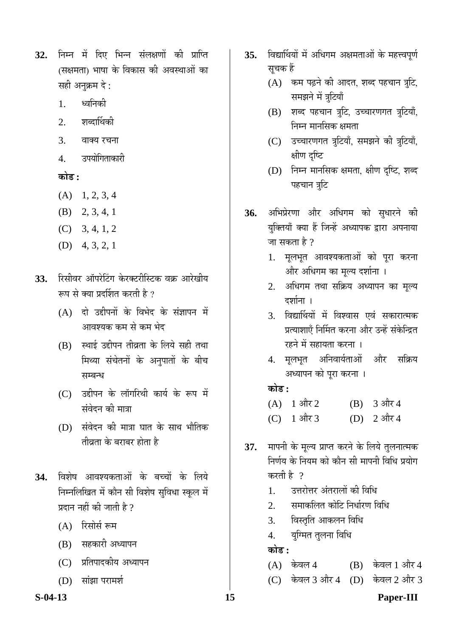- **32.** निम्न में दिए भिन्न संलक्षणों की प्राप्ति (सक्षमता) भाषा के विकास की अवस्थाओं का सही अनुक्रम दे:
	- 1. ध्वनिकी
	- 2. शब्दार्थिकी
	- 3. वाक्य रचना
	- 4. उपयोगिताकारी

# <u>कोड :</u>

- $(A)$  1, 2, 3, 4
- (B) 2, 3, 4, 1
- (C) 3, 4, 1, 2
- (D) 4, 3, 2, 1
- 33. रिसीवर ऑपरेटिंग केरक्टरीस्टिक वक्र आरेखीय रूप से क्या प्रदर्शित करती है ?
	- (A) दो उद्दीपनों के विभेद के संज्ञापन में आवश्यक कम से कम भेद
	- $(B)$  स्थाई उद्दीपन तीव्रता के लिये सही तथा मिथ्या संचेतनों के अनुपातों के बीच सम्बन्ध
	- (C) उद्दीपन के लॉगरिथी कार्य के रूप में संवेदन की मात्रा
	- (D) संवेदन की मात्रा घात के साथ भौतिक तीवता के बराबर होता है
- 34. विशेष आवश्यकताओं के बच्चों के लिये निम्नलिखित में कौन सी विशेष सुविधा स्कूल में प्रदान नहीं की जाती है  $\overline{v}$ 
	- $(A)$  रिसोर्स रूम
	- (B) सहकारी अध्यापन
	- (C) प्रतिपादकीय अध्यापन
	- $(D)$  सांझा परामर्श
- 35. विद्यार्थियों में अधिगम अक्षमताओं के महत्त्वपूर्ण सूचक हैं
	- $(A)$  कम पढ़ने की आदत, शब्द पहचान त्रुटि, समझने में त्रूटियाँ
	- (B) शब्द पहचान त्रुटि, उच्चारणगत त्रुटियाँ, निम्न मानसिक क्षमता
	- (C) उच्चारणगत त्रुटियाँ, समझने की त्रुटियाँ, क्षीण दृष्टि
	- (D) निम्न मानसिक क्षमता, क्षीण दृष्टि, शब्द पहचान त्रुटि
- 36. अभिप्रेरणा और अधिगम को सुधारने की युक्तियाँ क्या हैं जिन्हें अध्यापक द्वारा अपनाया जा सकता है ?
	- 1. मूलभूत आवश्यकताओं को पूरा करना ओर अधिगम का मुल्य दर्शाना ।
	- 2. अधिगम तथा सक्रिय अध्यापन का मृत्य दर्शाना ।
	- 3. विद्यार्थियों में विश्वास एवं सकारात्मक प्रत्याशाएँ निर्मित करना और उन्हें संकेन्द्रित रहने में सहायता करना ।
	- 4. मूलभूत अनिवार्यताओं और सक्रिय अध्यापन को पूरा करना ।

# **कोड :**

| $(A)$ 1 और 2 | (B) $3 \text{ and } 4$ |
|--------------|------------------------|
| (C) 1 और 3   | (D) $2 \sin 4$         |

- **37.** मापनी के मूल्य प्राप्त करने के लिये तुलनात्मक निर्णय के नियम को कौन सी मापनी विधि प्रयोग करती है ?
	- 1. उत्तरोत्तर अंतरालों की विधि
	- 2. समाकलित कोटि निर्धारण विधि
	- 3. विस्तृति आकलन विधि
	- 4. युग्मित तुलना विधि

**कोड :** 

- $(A)$  केवल 4  $(B)$  केवल 1 और 4
- (C) केवल 3 और 4 (D) केवल 2 और 3

#### **S-04-13 15 Paper-III**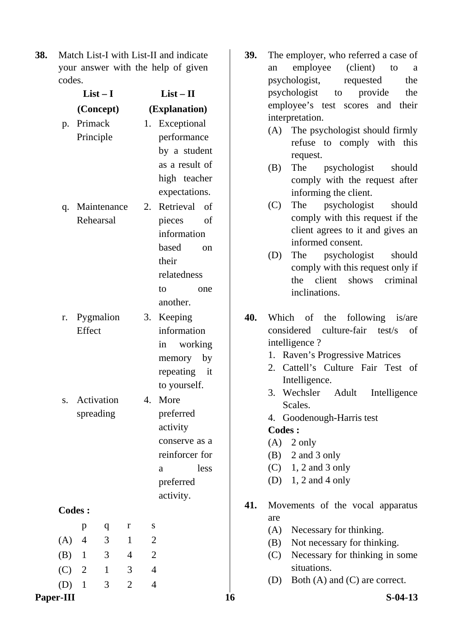**38.** Match List-I with List-II and indicate your answer with the help of given codes.

|     | $List-I$       |              |                |                | $List - II$     |
|-----|----------------|--------------|----------------|----------------|-----------------|
|     | (Concept)      |              |                |                | (Explanation)   |
| p.  | Primack        |              |                |                | 1. Exceptional  |
|     | Principle      |              |                |                | performance     |
|     |                |              |                |                | by a student    |
|     |                |              |                |                | as a result of  |
|     |                |              |                |                | high teacher    |
|     |                |              |                |                | expectations.   |
|     | q. Maintenance |              |                | 2.             | Retrieval of    |
|     | Rehearsal      |              |                |                | pieces<br>of    |
|     |                |              |                |                | information     |
|     |                |              |                |                | based<br>on     |
|     |                |              |                |                | their           |
|     |                |              |                |                | relatedness     |
|     |                |              |                |                | to<br>one       |
|     |                |              |                |                | another.        |
|     | r. Pygmalion   |              |                |                | 3. Keeping      |
|     | Effect         |              |                |                | information     |
|     |                |              |                |                | working<br>in   |
|     |                |              |                |                | memory by       |
|     |                |              |                |                | repeating<br>it |
|     |                |              |                |                | to yourself.    |
| S.  | Activation     |              |                | 4.             | More            |
|     | spreading      |              |                |                | preferred       |
|     |                |              |                |                | activity        |
|     |                |              |                |                | conserve as a   |
|     |                |              |                |                | reinforcer for  |
|     |                |              |                |                | less<br>a       |
|     |                |              |                |                | preferred       |
|     |                |              |                |                | activity.       |
|     | <b>Codes:</b>  |              |                |                |                 |
|     | p              | q            | r              | S              |                 |
| (A) | $\overline{4}$ | 3            | $\mathbf{1}$   | $\overline{c}$ |                 |
| (B) | $\mathbf{1}$   | 3            | $\overline{4}$ | $\overline{2}$ |                 |
| (C) | $\overline{2}$ | $\mathbf{1}$ | 3              | $\overline{4}$ |                 |
| (D) | $\mathbf{1}$   | 3            | $\overline{2}$ | $\overline{4}$ |                 |

- **39.** The employer, who referred a case of an employee (client) to a psychologist, requested the psychologist to provide the employee's test scores and their interpretation.
	- (A) The psychologist should firmly refuse to comply with this request.
	- (B) The psychologist should comply with the request after informing the client.
	- (C) The psychologist should comply with this request if the client agrees to it and gives an informed consent.
	- (D) The psychologist should comply with this request only if the client shows criminal inclinations.
- **40.** Which of the following is/are considered culture-fair test/s of intelligence ?
	- 1. Raven's Progressive Matrices
	- 2. Cattell's Culture Fair Test of Intelligence.
	- 3. Wechsler Adult Intelligence Scales.
	- 4. Goodenough-Harris test

- $(A)$  2 only
- (B) 2 and 3 only
- $(C)$  1, 2 and 3 only
- (D) 1, 2 and 4 only
- **41.** Movements of the vocal apparatus are
	- (A) Necessary for thinking.
	- (B) Not necessary for thinking.
	- (C) Necessary for thinking in some situations.
	- (D) Both (A) and (C) are correct.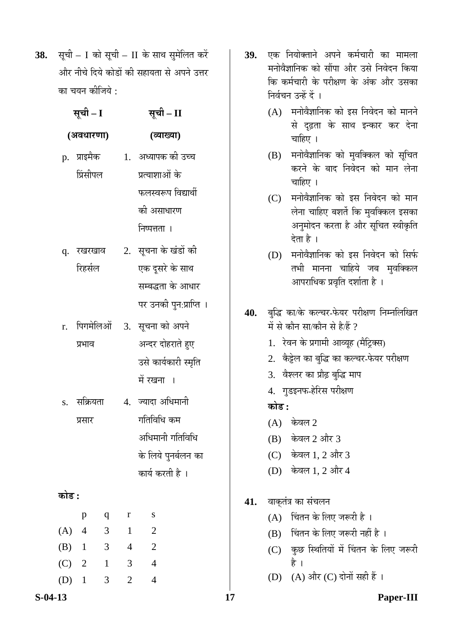38. सूची – I को सूची – II के साथ सुमेलित करें ओर नीचे दिये कोडों की सहायता से अपने उत्तर का चयन कीजिये :

**ÃÖæ"Öß – I ÃÖæ"Öß – II** 

|    | $\lambda$ $\lambda$ $\lambda$ |    | $\lambda$              |
|----|-------------------------------|----|------------------------|
|    | (अवधारणा)                     |    | (व्याख्या)             |
|    | p. प्राइमैक                   |    | 1. अध्यापक की उच्च     |
|    | प्रिंसीपल                     |    | प्रत्याशाओं के         |
|    |                               |    | फलस्वरूप विद्यार्थी    |
|    |                               |    | की असाधारण             |
|    |                               |    | निष्पत्तता ।           |
| q. | रखरखाव                        | 2. | सूचना के खंडों की      |
|    | रिहर्सल                       |    | एक दुसरे के साथ        |
|    |                               |    | सम्बद्धता के आधार      |
|    |                               |    | पर उनकी पुन:प्राप्ति । |
|    |                               |    |                        |

- r. पिगमेलिओं प्रभाव 3. सूचना को अपने अन्दर दोहराते हुए उसे कार्यकारी स्मृति में रखना ।
- s. सक्रियता प्रसार  $4<sub>•</sub>$ ज्यादा अधिमानी गतिविधि कम अधिमानी गतिविधि के लिये पुनर्बलन का कार्य करती है ।

# **कोड :**

|         | р              | q | r | S |
|---------|----------------|---|---|---|
| (A)     | $\overline{4}$ | 3 | 1 | 2 |
| $(B)$ 1 |                | 3 | 4 | 2 |
| $(C)$ 2 |                | 1 | 3 | 4 |
| (D)     | $\mathbf{1}$   | 3 | 2 | 1 |

- **39.** एक नियोक्ताने अपने कर्मचारी का मामला मनोवैज्ञानिक को सौंपा और उसे निवेदन किया कि कर्मचारी के परीक्षण के अंक और उसका निर्वचन उन्हें दें ।
	- $(A)$  मनोवैज्ञानिक को इस निवेदन को मानने से दृढ़ता के साथ इन्कार कर देना चाहिए ।
	- (B) मनोवैज्ञानिक को मुवक्किल को सूचित करने के बाद निवेदन को मान लेना चाहिए $\perp$
	- $(C)$  मनोवैज्ञानिक को इस निवेदन को मान लेना चाहिए बशर्ते कि मुवक्किल इसका अनुमोदन करता है और सूचित स्वीकृति देता है ।
	- (D) मनोवैज्ञानिक को इस निवेदन को सिर्फ तभी मानना चाहिये जब मुवक्किल आपराधिक प्रवृति दर्शाता है ।
- 40. बुद्धि का/के कल्चर-फेयर परीक्षण निम्नलिखित में से कौन सा/कौन से है/हैं  $\overline{\imath}$ 
	- 1. रेवन के प्रगामी आव्यूह (मैट्रिक्स)
	- 2. केट्टेल का बुद्धि का कल्चर-फेयर परीक्षण
	- 3. वेश्लर का प्रौढ़ बुद्धि माप
	- 4. गुडइनफ-हेरिस परीक्षण

# **कोड :**

- $(A)$  केवल 2
- (B) केवल 2 और 3
- (C) केवल 1, 2 और 3
- (D) केवल 1, 2 और 4
- 41. वाक्तंत्र का संचलन
	- (A) विंतन के लिए जरूरी है।
	- (B) विंतन के लिए जरूरी नहीं है।
	- (C) कुछ स्थितियों में चिंतन के लिए जरूरी है ।
	- (D) (A) और (C) दोनों सही हैं ।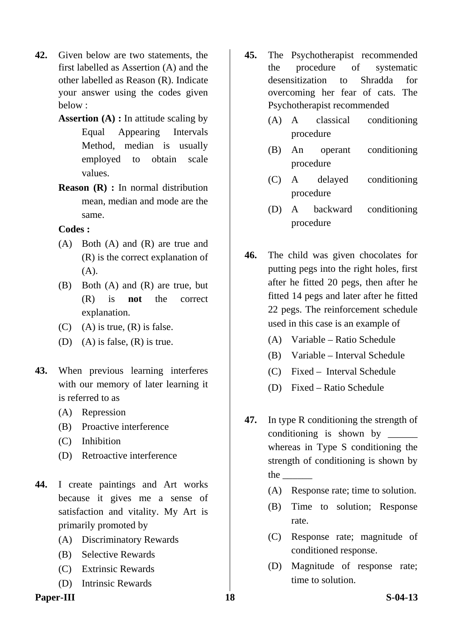- **42.** Given below are two statements, the first labelled as Assertion (A) and the other labelled as Reason (R). Indicate your answer using the codes given below :
	- **Assertion (A) :** In attitude scaling by Equal Appearing Intervals Method, median is usually employed to obtain scale values.
	- **Reason (R) :** In normal distribution mean, median and mode are the same.

- (A) Both (A) and (R) are true and (R) is the correct explanation of (A).
- (B) Both (A) and (R) are true, but (R) is **not** the correct explanation.
- (C) (A) is true,  $(R)$  is false.
- (D) (A) is false,  $(R)$  is true.
- **43.** When previous learning interferes with our memory of later learning it is referred to as
	- (A) Repression
	- (B) Proactive interference
	- (C) Inhibition
	- (D) Retroactive interference
- **44.** I create paintings and Art works because it gives me a sense of satisfaction and vitality. My Art is primarily promoted by
	- (A) Discriminatory Rewards
	- (B) Selective Rewards
	- (C) Extrinsic Rewards
	- (D) Intrinsic Rewards
- Paper-III 3<sup>18</sup> S-04-13
- **45.** The Psychotherapist recommended the procedure of systematic desensitization to Shradda for overcoming her fear of cats. The Psychotherapist recommended
	- (A) A classical conditioning procedure
	- (B) An operant conditioning procedure
	- (C) A delayed conditioning procedure
	- (D) A backward conditioning procedure
- **46.** The child was given chocolates for putting pegs into the right holes, first after he fitted 20 pegs, then after he fitted 14 pegs and later after he fitted 22 pegs. The reinforcement schedule used in this case is an example of
	- (A) Variable Ratio Schedule
	- (B) Variable Interval Schedule
	- (C) Fixed Interval Schedule
	- (D) Fixed Ratio Schedule
- **47.** In type R conditioning the strength of conditioning is shown by whereas in Type S conditioning the strength of conditioning is shown by the  $\Box$ 
	- (A) Response rate; time to solution.
	- (B) Time to solution; Response rate.
	- (C) Response rate; magnitude of conditioned response.
	- (D) Magnitude of response rate; time to solution.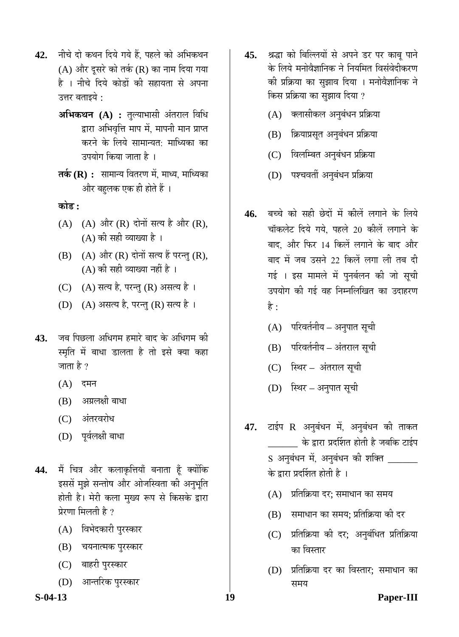- 42. नीचे दो कथन दिये गये हैं, पहले को अभिकथन (A) और दूसरे को तर्क (R) का नाम दिया गया है । नीचे दिये कोडों की सहायता से अपना उत्तर बताइये  $\cdot$ 
	- **अभिकथन (A) :** तुल्याभासी अंतराल विधि द्वारा अभिवृत्ति माप में, मापनी मान प्राप्त करने के लिये सामान्यत: माध्यिका का उपयोग किया जाता है ।
	- **तर्क (R) :** सामान्य वितरण में, माध्य, माध्यिका और बहुलक एक ही होते हैं ।

**कोड** :

- $(A)$   $(A)$  और  $(R)$  दोनों सत्य है और  $(R)$ ,  $(A)$  की सही व्याख्या है।
- $(B)$   $(A)$  और  $(R)$  दोनों सत्य हैं परन्तु  $(R)$ ,  $(A)$  की सही व्याख्या नहीं है ।
- (C) (A) सत्य है, परन्तु (R) असत्य है।
- (D) (A) असत्य है, परन्तु (R) सत्य है।
- 43. जब पिछला अधिगम हमारे बाद के अधिगम की स्मृति में बाधा डालता है तो इसे क्या कहा जाता है ?
	- $(A)$  दमन
	- (B) अग्रलक्षी बाधा
	- (C) अंतरवरोध
	- (D) पूर्वलक्षी बाधा
- 44. मैं चित्र और कलाकृत्तियाँ बनाता हूँ क्योंकि इससें मुझे सन्तोष और ओजस्विता की अनुभूति होती है। मेरी कला मुख्य रूप से किसके द्वारा प्रेरणा मिलती है ?
	- (A) विभेदकारी पुरस्कार
	- (B) चयनात्मक पुरस्कार
	- (C) बाहरी पुरस्कार
	- (D) आन्तरिक पुरस्कार
- 45. श्रद्धा को बिल्लियों से अपने डर पर काबू पाने के लिये मनोवैज्ञानिक ने नियमित विसंवेदीकरण की प्रक्रिया का सुझाव दिया । मनोवैज्ञानिक ने किस प्रक्रिया का सुझाव दिया ?
	- (A) क्लासीकल अनुबंधन प्रक्रिया
	- (B) क्रियाप्रसूत अनुबंधन प्रक्रिया
	- (C) विलम्बित अनुबंधन प्रक्रिया
	- (D) पश्चवर्ती अनुबंधन प्रक्रिया
- **46.** बच्चे को सही छेदों में कीलें लगाने के लिये चॉकलेट दिये गये. पहले 20 कीलें लगाने के बाद, और फिर 14 किलें लगाने के बाद और बाद में जब उसने 22 किलें लगा ली तब दी गई । इस मामले में पुनर्बलन की जो सूची उपयोग की गई वह निम्नलिखित का उदाहरण है :
	- $(A)$  परिवर्तनीय अनुपात सूची
	- (B) परिवर्तनीय अंतराल सूची
	- (C) स्थिर अंतराल सूची
	- (D) स्थिर अनुपात सूची
- 47. टाईप R अनुबंधन में, अनुबंधन की ताकत \_\_\_\_\_\_ Ûêú «üÖ¸üÖ ¯ÖϤüÙ¿ÖŸÖ ÆüÖêŸÖß Æîü •Ö²Ö×Ûú ™üÖ‡Ô¯Ö S अनुबंधन में, अनुबंधन की शक्ति \_\_\_\_ के द्वारा प्रदर्शित होती है ।
	- $(A)$  प्रतिक्रिया दर; समाधान का समय
	- (B) समाधान का समय; प्रतिक्रिया की दर
	- (C) प्रतिक्रिया की दर; अनुबंधित प्रतिक्रिया का विस्तार
	- (D) प्रतिक्रिया दर का विस्तार: समाधान का समय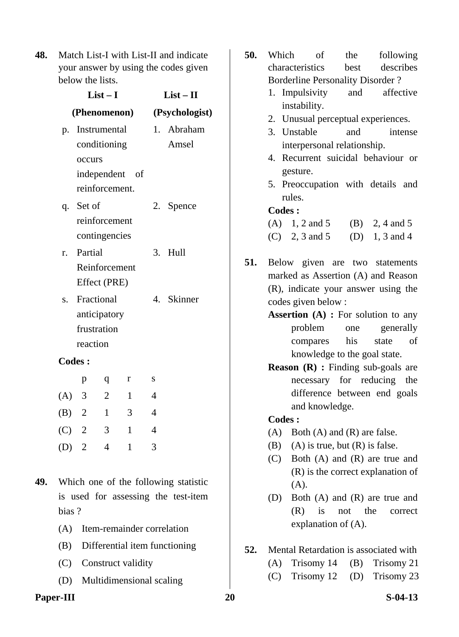**48.** Match List-I with List-II and indicate your answer by using the codes given below the lists.

|         |               | $List-I$                      |                |                | $List - II$    |  |
|---------|---------------|-------------------------------|----------------|----------------|----------------|--|
|         |               | (Phenomenon)                  |                |                | (Psychologist) |  |
| p.      |               | Instrumental                  |                |                | 1. Abraham     |  |
|         |               | conditioning                  |                |                | Amsel          |  |
|         | occurs        |                               |                |                |                |  |
|         |               | independent of                |                |                |                |  |
|         |               | reinforcement.                |                |                |                |  |
|         | q. Set of     |                               |                | 2.             | Spence         |  |
|         |               | reinforcement                 |                |                |                |  |
|         |               | contingencies                 |                |                |                |  |
| r.      | Partial       |                               |                | 3.             | Hull           |  |
|         |               | Reinforcement<br>Effect (PRE) |                |                |                |  |
|         |               |                               |                |                |                |  |
| S.      |               | Fractional<br>anticipatory    |                |                | 4. Skinner     |  |
|         |               | frustration                   |                |                |                |  |
|         | reaction      |                               |                |                |                |  |
|         | <b>Codes:</b> |                               |                |                |                |  |
|         | p             | q                             | r              | S              |                |  |
| $(A)$ 3 |               | $\overline{2}$                | $\mathbf{1}$   | $\overline{4}$ |                |  |
|         |               |                               |                |                |                |  |
| (B) 2   |               | $\mathbf{1}$                  | 3 <sup>1</sup> | 4              |                |  |
| $(C)$ 2 |               | 3                             | 1              | $\overline{4}$ |                |  |
| $(D)$ 2 |               | 4                             | 1              | 3              |                |  |
|         |               |                               |                |                |                |  |

- **49.** Which one of the following statistic is used for assessing the test-item bias ?
	- (A) Item-remainder correlation
	- (B) Differential item functioning
	- (C) Construct validity
	- (D) Multidimensional scaling
- Paper-III 20 S-04-13
- **50.** Which of the following characteristics best describes Borderline Personality Disorder ? 1. Impulsivity and affective instability. 2. Unusual perceptual experiences. 3. Unstable and intense interpersonal relationship. 4. Recurrent suicidal behaviour or gesture. 5. Preoccupation with details and rules. **Codes :**  (A)  $1, 2$  and  $5$  (B)  $2, 4$  and  $5$ (C) 2, 3 and 5 (D) 1, 3 and 4 **51.** Below given are two statements marked as Assertion (A) and Reason (R), indicate your answer using the codes given below : **Assertion (A) :** For solution to any problem one generally compares his state of knowledge to the goal state. **Reason (R) :** Finding sub-goals are necessary for reducing the difference between end goals and knowledge. **Codes :**   $(A)$  Both  $(A)$  and  $(R)$  are false. (B) (A) is true, but  $(R)$  is false. (C) Both (A) and (R) are true and (R) is the correct explanation of (A). (D) Both (A) and (R) are true and (R) is not the correct explanation of (A). **52.** Mental Retardation is associated with (A) Trisomy 14 (B) Trisomy 21 (C) Trisomy 12 (D) Trisomy 23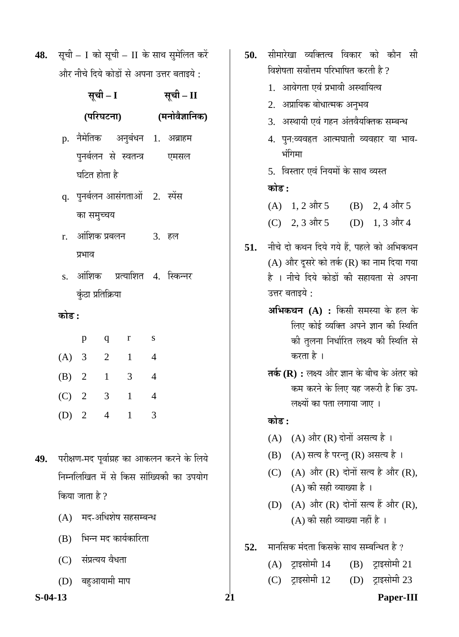48. सूची – I को सूची – II के साथ सुमेलित करें और नीचे दिये कोडों से अपना उत्तर बताइये :

|         |                                      | सूची – I       |                                | सूची – II |                                  |  |  |  |
|---------|--------------------------------------|----------------|--------------------------------|-----------|----------------------------------|--|--|--|
|         |                                      |                | (परिघटना)                      |           | (मनोवैज्ञानिक)                   |  |  |  |
|         |                                      |                |                                |           | p. नैमेतिक अनुबंधन 1. अब्राहम    |  |  |  |
|         |                                      |                |                                |           | पुनर्बलन से स्वतन्त्र पिमसल      |  |  |  |
|         | घटित होता है                         |                |                                |           |                                  |  |  |  |
|         | q. पुनर्बलन आसंगताओं 2. स्पेंस       |                |                                |           |                                  |  |  |  |
|         | का समुच्चय                           |                |                                |           |                                  |  |  |  |
|         | r. आंशिक प्रबलन              3.   हल |                |                                |           |                                  |  |  |  |
|         | प्रभाव                               |                |                                |           |                                  |  |  |  |
|         |                                      |                |                                |           | s. आंशिक  प्रत्याशित 4. स्किन्नर |  |  |  |
|         | कुंठा प्रतिक्रिया                    |                |                                |           |                                  |  |  |  |
|         | कोड :                                |                |                                |           |                                  |  |  |  |
|         | p                                    |                | q r s                          |           |                                  |  |  |  |
|         | (A) 3 2 1 4                          |                |                                |           |                                  |  |  |  |
|         | (B) $2 \t1 \t3 \t4$                  |                |                                |           |                                  |  |  |  |
| $(C)$ 2 |                                      | 3 <sup>7</sup> | $\mathbf{1}$<br>$\overline{4}$ |           |                                  |  |  |  |
|         |                                      |                |                                |           |                                  |  |  |  |

- 49. परीक्षण-मद पूर्वाग्रह का आकलन करने के लिये निम्नलिखित में से किस सांख्यिकी का उपयोग किया जाता है  $\overline{v}$ 
	- $(A)$  मद-अधिशेष सहसम्बन्ध

(D) 2 4 1 3

- (B) भिन्न मद कार्यकारिता
- (C) संप्रत्यय वैधता
- (D) बहुआयामी माप
- **50.** सीमारेखा व्यक्तित्व विकार को कौन सी विशेषता सर्वोत्तम परिभाषित करती है ? 1. आवेगता एवं प्रभावी अस्थायित्व 2. अप्रायिक बोधात्मक अनुभव 3. अस्थायी एवं गहन अंतवैयक्तिक सम्बन्ध 4. पन:व्यवहृत आत्मघाती व्यवहार या भाव-भंगिमा 5. विस्तार एवं नियमों के साथ व्यस्त <u>कोड़ :</u> (A)  $1, 2$  और 5 (B)  $2, 4$  और 5 (C) 2, 3 और 5 (D) 1, 3 और 4 51. नीचे दो कथन दिये गये हैं, पहले को अभिकथन  $(A)$  और दूसरे को तर्क  $(R)$  का नाम दिया गया है । नीचे दिये कोडों की सहायता से अपना उत्तर बताइये  $\cdot$ **अभिकथन (A) :** किसी समस्या के हल के लिए कोई व्यक्ति अपने ज्ञान की स्थिति की तुलना निर्धारित लक्ष्य की स्थिति से करता है । **तर्क (R) :** लक्ष्य और ज्ञान के बीच के अंतर को कम करने के लिए यह जरूरी है कि उप-लक्ष्यों का पता लगाया जाए । **कोड** :
	- (A)  $(A)$  और  $(R)$  दोनों असत्य है।
	- (B) (A) सत्य है परन्तु (R) असत्य है।
	- $(C)$   $(A)$  और  $(R)$  दोनों सत्य है और  $(R)$ ,  $(A)$  की सही व्याख्या है।
	- $(D)$   $(A)$  और  $(R)$  दोनों सत्य हैं और  $(R)$ ,  $(A)$  की सही व्याख्या नहीं है ।
- **52.** मानसिक मंदता किसके साथ सम्बन्धित है ?
	- (A) ट्राइसोमी  $14$  (B) ट्राइसोमी 21
	- $(C)$  ट्राइसोमी 12  $(D)$  ट्राइसोमी 23

**S-04-13 21 Paper-III**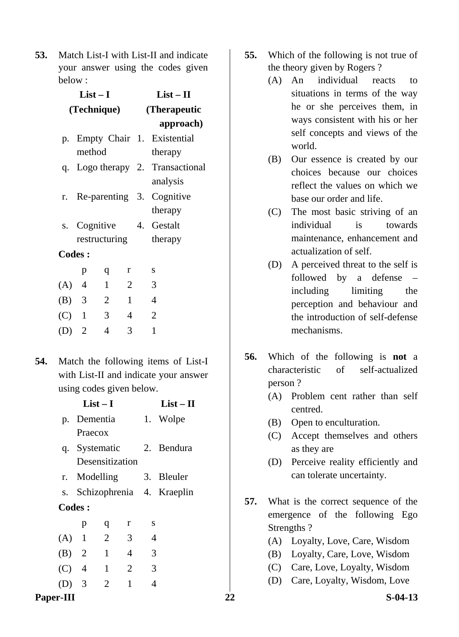**53.** Match List-I with List-II and indicate your answer using the codes given below :

|         | $List-I$       |                          |                | $List - II$  |                                  |  |
|---------|----------------|--------------------------|----------------|--------------|----------------------------------|--|
|         | (Technique)    |                          |                | (Therapeutic |                                  |  |
|         |                |                          |                |              | approach)                        |  |
|         |                |                          |                |              | p. Empty Chair 1. Existential    |  |
|         | method         |                          |                |              | therapy                          |  |
|         |                |                          |                |              | q. Logo therapy 2. Transactional |  |
|         |                |                          |                |              | analysis                         |  |
|         |                |                          |                |              | r. Re-parenting 3. Cognitive     |  |
|         |                |                          |                |              | therapy                          |  |
|         |                |                          |                |              | s. Cognitive 4. Gestalt          |  |
|         | restructuring  |                          |                |              | therapy                          |  |
|         | <b>Codes:</b>  |                          |                |              |                                  |  |
|         | p              | q                        | r              |              | S                                |  |
| $(A)$ 4 |                | $\overline{1}$           | $\overline{2}$ |              | 3                                |  |
| $(B)$ 3 |                | $\overline{\phantom{a}}$ | $\overline{1}$ |              | $\overline{4}$                   |  |
| $(C)$ 1 |                | 3 <sup>7</sup>           | $\overline{4}$ |              | $\overline{2}$                   |  |
| (D)     | $\overline{2}$ | 4                        | 3              |              | $\mathbf{1}$                     |  |

**54.** Match the following items of List-I with List-II and indicate your answer using codes given below.

|                  | $List-I$                      |                     |                |                | $List - II$                                |     |            | centred.                                                              |
|------------------|-------------------------------|---------------------|----------------|----------------|--------------------------------------------|-----|------------|-----------------------------------------------------------------------|
|                  | p. Dementia<br>Praecox        |                     |                |                | 1. Wolpe                                   |     | (B)<br>(C) | Open to enculturation.<br>Accept themselves and others                |
| q.               | Systematic<br>Desensitization |                     |                |                | 2. Bendura                                 |     | (D)        | as they are<br>Perceive reality efficiently and                       |
|                  | r. Modelling                  |                     |                |                | 3. Bleuler<br>s. Schizophrenia 4. Kraeplin |     |            | can tolerate uncertainty.                                             |
|                  | Codes:                        |                     | r              | S              |                                            | 57. |            | What is the correct sequence of the<br>emergence of the following Ego |
| (A)              | p<br>$\mathbf{1}$             | q<br>$\overline{2}$ | 3              | 4              |                                            |     |            | Strengths?<br>(A) Loyalty, Love, Care, Wisdom                         |
| (B)              | 2                             | $\mathbf{1}$        | $\overline{4}$ | 3              |                                            |     | (B)        | Loyalty, Care, Love, Wisdom                                           |
| (C)              | $\overline{4}$                | $\mathbf{1}$        | $\overline{2}$ | 3              |                                            |     | (C)        | Care, Love, Loyalty, Wisdom                                           |
| (D)              | 3                             | 2                   | $\mathbf{1}$   | $\overline{4}$ |                                            |     | (D)        | Care, Loyalty, Wisdom, Love                                           |
| <b>Paper-III</b> |                               |                     |                |                |                                            | 22  |            | $S-04-13$                                                             |

- **55.** Which of the following is not true of the theory given by Rogers ?
	- (A) An individual reacts to situations in terms of the way he or she perceives them, in ways consistent with his or her self concepts and views of the world.
	- (B) Our essence is created by our choices because our choices reflect the values on which we base our order and life.
	- (C) The most basic striving of an individual is towards maintenance, enhancement and actualization of self.
	- (D) A perceived threat to the self is followed by a defense – including limiting the perception and behaviour and the introduction of self-defense mechanisms.
- **56.** Which of the following is **not** a characteristic of self-actualized person ?
	- (A) Problem cent rather than self centred.
	- (B) Open to enculturation.
	- (C) Accept themselves and others as they are
	- (D) Perceive reality efficiently and can tolerate uncertainty.
- **57.** What is the correct sequence of the emergence of the following Ego Strengths ?
	- (A) Loyalty, Love, Care, Wisdom
	- (B) Loyalty, Care, Love, Wisdom
	- (C) Care, Love, Loyalty, Wisdom
	- (D) Care, Loyalty, Wisdom, Love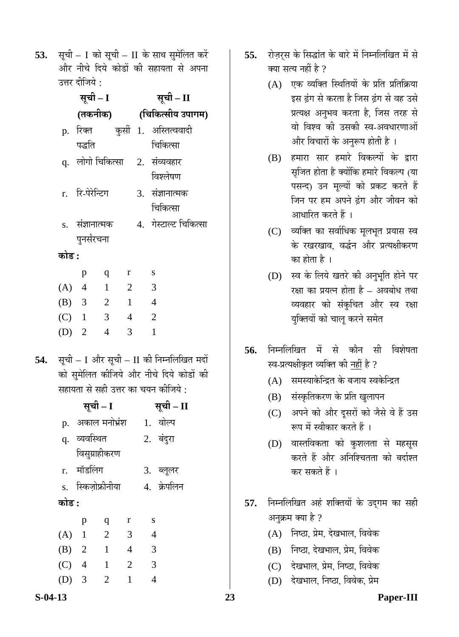**53.** सूची – I को सूची – II के साथ सुमेलित करें और नीचे दिये कोडों की सहायता से अपना उत्तर दीजिये :

|         | सूची – I                 |   |                          |                | सूची – II                       |
|---------|--------------------------|---|--------------------------|----------------|---------------------------------|
|         |                          |   |                          |                | (तकनीक) (चिकित्सीय उपागम)       |
|         |                          |   |                          |                | p. रिक्त कुर्सी 1. अस्तित्ववादी |
|         | पद्धति                   |   |                          |                | चिकित्सा                        |
|         |                          |   |                          |                | q. लोगो चिकित्सा 2. संव्यवहार   |
|         |                          |   |                          |                | विश्लेषण                        |
|         | r. रि-पेरेन्टिग          |   |                          |                | 3. संज्ञानात्मक                 |
|         |                          |   |                          |                | चिकित्सा                        |
|         | s. संज्ञानात्मक          |   |                          |                | 4. गेस्टाल्ट चिकित्सा           |
|         | पुनर्संरचना              |   |                          |                |                                 |
| कोड :   |                          |   |                          |                |                                 |
|         | p                        | q | r                        |                | S                               |
| $(A)$ 4 | $\overline{1}$           |   | $\overline{2}$           |                | 3                               |
| $(B)$ 3 | $\overline{\phantom{a}}$ |   | $\overline{1}$           | $\overline{4}$ |                                 |
| $(C)$ 1 | $\overline{\mathbf{3}}$  |   | $\overline{\phantom{a}}$ |                | 2                               |
| $(D)$ 2 |                          | 4 | 3                        |                | $\mathbf{1}$                    |
|         |                          |   |                          |                |                                 |

54. सूची – I और सूची – II की निम्नलिखित मदों को सुमेलित कीजिये और नीचे दिये कोडों की सहायता से सही उत्तर का चयन कीजिये :

|         |                    | सूची – I       |                |                | सूची – II   |
|---------|--------------------|----------------|----------------|----------------|-------------|
| p.      | अकाल मनोभ्रंश      |                |                |                | 1. वोल्प    |
|         | q. व्यवस्थित       |                |                |                | 2. बंदुरा   |
|         |                    | विसुग्राहीकरण  |                |                |             |
|         | r. मॉडलिंग         |                |                |                | 3. ब्लूलर   |
|         | s. स्किज़ोफ्रीनीया |                |                |                | 4. क्रेपलिन |
| कोड :   |                    |                |                |                |             |
|         | p                  | q              | r              | S              |             |
| $(A)$ 1 |                    | $\overline{2}$ | 3              | $\overline{4}$ |             |
| (B) 2   |                    | $\mathbf{1}$   | $\overline{4}$ | 3              |             |
| $(C)$ 4 |                    | $\mathbf{1}$   | $\overline{2}$ | 3              |             |
|         | $\overline{3}$     | $\overline{2}$ | $\mathbf{1}$   | 4              |             |
|         |                    |                |                |                |             |

- **55.** रोज़र्स के सिद्धांत के बारे में निम्नलिखित में से क्या सत्य नहीं है ?
	- $(A)$  एक व्यक्ति स्थितियों के प्रति प्रतिक्रिया इस ढंग से करता है जिस ढंग से वह उसे प्रत्यक्ष अनुभव करता है, जिस तरह से वो विश्व की उसकी स्व-अवधारणाओं और विचारों के अनुरूप होती है ।
	- (B) हमारा सार हमारे विकल्पों के द्वारा सृजित होता है क्योंकि हमारे विकल्प (या पसन्द) उन मूल्यों को प्रकट करते हैं जिन पर हम अपने हंग और जीवन को आधारित करते हैं ।
	- (C) व्यक्ति का सर्वाधिक मूलभूत प्रयास स्व के रखरखाव. वर्द्धन और प्रत्यक्षीकरण का होता है ।
	- (D) स्व के लिये खतरे की अनुभूति होने पर रक्षा का प्रयत्न होता है – अवबोध तथा व्यवहार को संकुचित और स्व रक्षा युक्तियों को चालू करने समेत
- **56.** निम्नलिखित में से कौन सी विशेषता स्व-प्रत्यक्षीकृत व्यक्ति की नहीं है ?
	- $(A)$  समस्याकेन्द्रित के बजाय स्वकेन्द्रित
	- (B) संस्कृतिकरण के प्रति खुलापन
	- (C) अपने को और दुसरों को जैसे वे हैं उस रूप में स्वीकार करते हैं ।
	- (D) वास्तविकता को कुशलता से महसूस करते हैं और अनिश्चितता को बर्दाश्त कर सकते हैं ।
- 57. निम्नलिखित अहं शक्तियों के उद्गम का सही अनुक्रम क्या है ?
	- (A) निष्ठा, प्रेम, देखभाल, विवेक
	- (B) निष्ठा, देखभाल, प्रेम, विवेक
	- (C) देखभाल, प्रेम, निष्ठा, विवेक
	- (D) देखभाल, निष्ठा, विवेक, प्रेम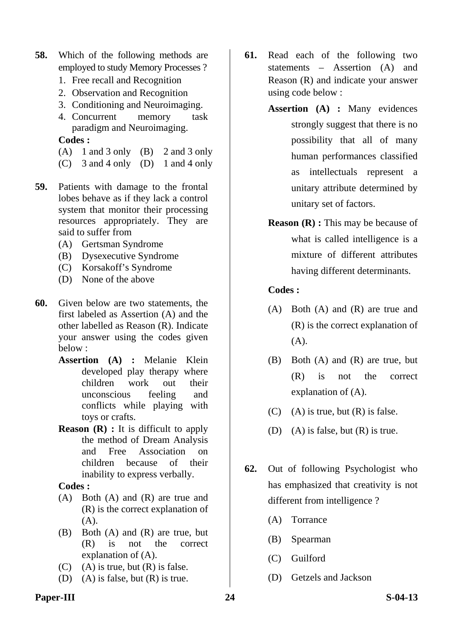- **58.** Which of the following methods are employed to study Memory Processes ?
	- 1. Free recall and Recognition
	- 2. Observation and Recognition
	- 3. Conditioning and Neuroimaging.
	- 4. Concurrent memory task paradigm and Neuroimaging.

- $(A)$  1 and 3 only  $(B)$  2 and 3 only
- (C) 3 and 4 only (D) 1 and 4 only
- **59.** Patients with damage to the frontal lobes behave as if they lack a control system that monitor their processing resources appropriately. They are said to suffer from
	- (A) Gertsman Syndrome
	- (B) Dysexecutive Syndrome
	- (C) Korsakoff's Syndrome
	- (D) None of the above
- **60.** Given below are two statements, the first labeled as Assertion (A) and the other labelled as Reason (R). Indicate your answer using the codes given below :
	- **Assertion (A) :** Melanie Klein developed play therapy where children work out their unconscious feeling and conflicts while playing with toys or crafts.
	- **Reason (R) :** It is difficult to apply the method of Dream Analysis and Free Association on children because of their inability to express verbally.

# **Codes :**

- (A) Both (A) and (R) are true and (R) is the correct explanation of (A).
- (B) Both (A) and (R) are true, but (R) is not the correct explanation of (A).
- $(C)$  (A) is true, but  $(R)$  is false.
- (D) (A) is false, but  $(R)$  is true.
- **61.** Read each of the following two statements – Assertion (A) and Reason (R) and indicate your answer using code below :
	- **Assertion (A) :** Many evidences strongly suggest that there is no possibility that all of many human performances classified as intellectuals represent a unitary attribute determined by unitary set of factors.
	- **Reason (R) :** This may be because of what is called intelligence is a mixture of different attributes having different determinants.

# **Codes :**

- (A) Both (A) and (R) are true and (R) is the correct explanation of (A).
- (B) Both (A) and (R) are true, but (R) is not the correct explanation of (A).
- $(C)$  (A) is true, but  $(R)$  is false.
- (D) (A) is false, but (R) is true.
- **62.** Out of following Psychologist who has emphasized that creativity is not different from intelligence ?
	- (A) Torrance
	- (B) Spearman
	- (C) Guilford
	- (D) Getzels and Jackson

# Paper-III 24 S-04-13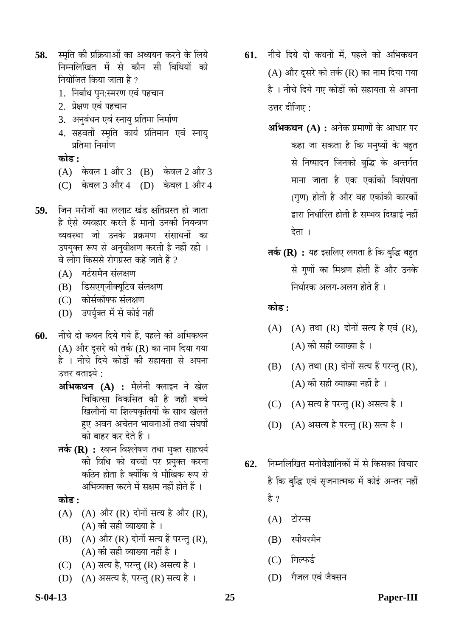- 58. स्मृति की प्रक्रियाओं का अध्ययन करने के लिये निम्नलिखित में से कौन सी विधियों क<u>ो</u> नियोजित किया जाता है ?
	- 1. निर्बाध पुन:स्मरण एवं पहचान
	- 2. प्रेक्षण एवं पहचान
	- 3. अनुबंधन एवं स्नायु प्रतिमा निर्माण
	- 4. सहवर्ती स्मृति कार्य प्रतिमान एवं स्नायु प्रतिमा निर्माण

<u>कोड :</u>

- $(A)$  केवल 1 और 3  $(B)$  केवल 2 और 3
- (C) केवल 3 और 4 (D) केवल 1 और 4
- **59.** जिन मरीजों का ललाट खंड क्षतिग्रस्त हो जाता है ऐसे व्यवहार करते हैं मानो उनकी नियन्त्रण व्यवस्था जो उनके प्रक्रमण संसाधनों का उपयुक्त रूप से अनुवीक्षण करती है नहीं रही । वे लोग किससे रोगग्रस्त कहे जाते हैं ?
	- $(A)$  गर्टसमैन संलक्षण
	- (B) डिसएग्जीक्यूटिव संलक्षण
	- (C) कोर्सकॉफ्फ संलक्षण
	- (D) उपर्युक्त में से कोई नहीं
- 60. नीचे दो कथन दिये गये हैं, पहले को अभिकथन (A) और दूसरे को तर्क (R) का नाम दिया गया है । नीचे दिये कोडों की सहायता से अपना उत्तर बताइये :
	- $\mathbf{a}\mathbf{b}$ **भकथन** (A) : मैलेनी क्लाइन ने खेल चिकित्सा विकसित की है जहाँ बच्चे खिलौनों या शिल्पकृतियों के साथ खेलते हुए अवन अचेतन भावनाओं तथा संघर्षों को बाहर कर देते हैं ।
	- **तर्क (R) :** स्वप्न विश्लेषण तथा मुक्त साहचर्य की विधि को बच्चों पर प्रयुक्त करना कठिन होता है क्योंकि वे मौखिक रूप से अभिव्यक्त करने में सक्षम नहीं होते हैं ।

**कोड :** 

- $(A)$   $(A)$  और  $(R)$  दोनों सत्य है और  $(R)$ , (A) की सही व्याख्या है ।
- $(B)$   $(A)$  और  $(R)$  दोनों सत्य हैं परन्तु  $(R)$ , (A) की सही व्याख्या नहीं है ।
- (C) (A) सत्य है, परन्तु (R) असत्य है।
- (D) (A) असत्य है, परन्तु (R) सत्य है।
- **61.** नीचे दिये दो कथनों में, पहले को अभिकथन (A) और दूसरे को तर्क (R) का नाम दिया गया है । नीचे दिये गए कोडों की सहायता से अपना उत्तर दीजिए :
	- **अभिकथन (A) :** अनेक प्रमाणों के आधार पर कहा जा सकता है कि मनुष्यों के बहुत से निष्पादन जिनको बुद्धि के अन्तर्गत माना जाता है एक एकांकी विशेषता (गण) होती है और वह एकांकी कारकों द्वारा निर्धारित होती है सम्भव दिखाई नहीं देता ।
	- **तर्क (R) :** यह इसलिए लगता है कि बुद्धि बहुत से गुणों का मिश्रण होती हैं और उनके निर्धारक अलग-अलग होते हैं ।

<u>कोड़ :</u>

- $(A)$   $(A)$  तथा  $(R)$  दोनों सत्य है एवं  $(R)$ ,  $(A)$  की सही व्याख्या है।
- $(B)$   $(A)$  तथा  $(R)$  दोनों सत्य हैं परन्तु  $(R)$ ,  $(A)$  की सही व्याख्या नहीं है)।
- (C) (A) सत्य है परन्तु (R) असत्य है।
- (D) (A) असत्य है परन्तु (R) सत्य है।
- **62.** निम्नलिखित मनोवैज्ञानिकों में से किसका विचार है कि बुद्धि एवं सृजनात्मक में कोई अन्तर नहीं हे ?
	- (A) टोरन्स
	- $(B)$  स्पीयरमैन
	- (C) गिल्फर्ड
	- (D) गैजल एवं जैक्सन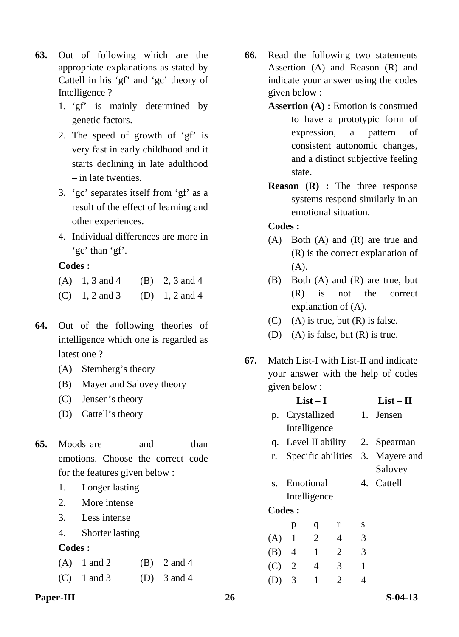- **63.** Out of following which are the appropriate explanations as stated by Cattell in his 'gf' and 'gc' theory of Intelligence ?
	- 1. 'gf' is mainly determined by genetic factors.
	- 2. The speed of growth of 'gf' is very fast in early childhood and it starts declining in late adulthood – in late twenties.
	- 3. 'gc' separates itself from 'gf' as a result of the effect of learning and other experiences.
	- 4. Individual differences are more in 'gc' than 'gf'.

- (A)  $1, 3$  and  $4$  (B)  $2, 3$  and  $4$
- (C)  $1, 2$  and 3 (D)  $1, 2$  and 4
- **64.** Out of the following theories of intelligence which one is regarded as latest one ?
	- (A) Sternberg's theory
	- (B) Mayer and Salovey theory
	- (C) Jensen's theory
	- (D) Cattell's theory
- **65.** Moods are \_\_\_\_\_\_ and \_\_\_\_\_\_ than emotions. Choose the correct code for the features given below :
	- 1. Longer lasting
	- 2. More intense
	- 3. Less intense
	- 4. Shorter lasting

# **Codes :**

| $(A)$ 1 and 2 | $(B)$ 2 and 4 |
|---------------|---------------|
| $(C)$ 1 and 3 | (D) $3$ and 4 |

Paper-III 26 S-04-13

- **66.** Read the following two statements Assertion (A) and Reason (R) and indicate your answer using the codes given below :
	- **Assertion (A) :** Emotion is construed to have a prototypic form of expression, a pattern of consistent autonomic changes, and a distinct subjective feeling state.
	- **Reason (R) :** The three response systems respond similarly in an emotional situation.

- (A) Both (A) and (R) are true and (R) is the correct explanation of (A).
- (B) Both (A) and (R) are true, but (R) is not the correct explanation of (A).
- $(C)$  (A) is true, but  $(R)$  is false.
- (D) (A) is false, but (R) is true.
- **67.** Match List-I with List-II and indicate your answer with the help of codes given below :

|     |               | $List-I$        |                |   | $List - II$                      |
|-----|---------------|-----------------|----------------|---|----------------------------------|
|     |               | p. Crystallized |                |   | 1. Jensen                        |
|     |               | Intelligence    |                |   |                                  |
|     |               |                 |                |   | q. Level II ability 2. Spearman  |
| r.  |               |                 |                |   | Specific abilities 3. Mayere and |
|     |               |                 |                |   | Salovey                          |
|     |               | s. Emotional    |                |   | 4. Cattell                       |
|     |               | Intelligence    |                |   |                                  |
|     | <b>Codes:</b> |                 |                |   |                                  |
|     | p             | q               | r              | S |                                  |
| (A) | $\mathbf{1}$  | $\overline{2}$  | 4              | 3 |                                  |
|     | $(B)$ 4       | $\overline{1}$  | $\overline{2}$ | 3 |                                  |
|     | $(C)$ 2       | $\overline{4}$  | 3 <sup>1</sup> | 1 |                                  |
|     | 3             | $\mathbf{1}$    | 2              | 4 |                                  |
|     |               |                 |                |   |                                  |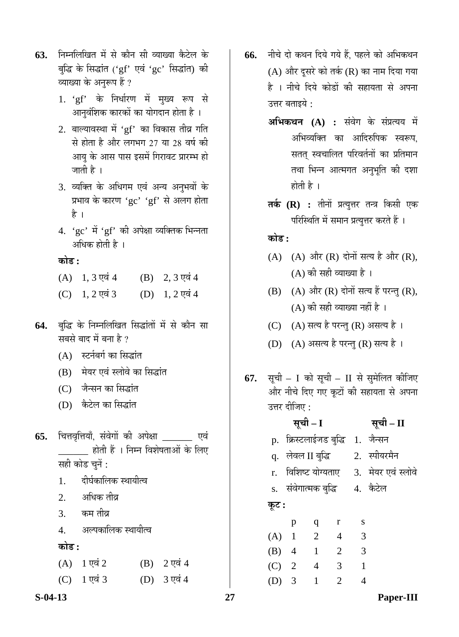- **63.** निम्नलिखित में से कौन सी व्याख्या कैटेल के बद्धि के सिद्धांत ('gf' एवं 'gc' सिद्धांत) की व्याख्या के अनुरूप हैं ?
	- 1. 'gf' के निर्धारण में मुख्य रूप से आनुवंशिक कारकों का योगदान होता है ।
	- $2.$  बाल्यावस्था में 'gf' का विकास तीव्र गति से होता है और लगभग 27 या 28 वर्ष की आयु के आस पास इसमें गिरावट प्रारम्भ हो जाती है ।
	- 3. व्यक्ति के अधिगम एवं अन्य अनुभवों के प्रभाव के कारण ' $gc'$  ' $gf'$  से अलग होता है ।
	- $4.$  'gc' में 'gf' की अपेक्षा व्यक्तिक भिन्नता अधिक होती है ।

# **कोड** :

- $(A)$  1, 3  $\nabla \vec{a}$  4 (B) 2, 3  $\nabla \vec{a}$  4
- $(C)$  1, 2 एवं 3  $(D)$  1, 2 एवं 4
- 64. बुद्धि के निम्नलिखित सिद्धांतों में से कौन सा सबसे बाद में बना है ?
	- $(A)$  स्टर्नबर्ग का सिद्धांत
	- (B) मेयर एवं स्लोवे का सिद्धांत
	- (C) जैन्सन का सिद्धांत
	- (D) कैटेल का सिद्धांत
- 65. चित्तवृत्तियाँ, संवेगों की अपेक्षा एवं \_ होती हैं । निम्न विशेषताओं के लिए सही कोड चनें :
	- 1. दीर्घकालिक स्थायीत्व
	- $2 \overline{)}$ अधिक तीव्र
	- 3. कम तीव्र
	- 4. अल्पकालिक स्थायीत्व

# <u>कोड़ :</u>

| $(A)$ 1 एवं 2            | (B) $2 \nabla \vec{a}$ 4       |
|--------------------------|--------------------------------|
| (C) $1 \nabla \vec{q}$ 3 | (D) $3 \overline{v} \dot{q} 4$ |

- 66. नीचे दो कथन दिये गये हैं. पहले को अभिकथन  $(A)$  और दुसरे को तर्क  $(R)$  का नाम दिया गया है । नीचे दिये कोडों की सहायता से अपना उत्तर बताइये :
	- **अभिकथन (A) :** संवेग के संप्रत्यय में अभिव्यक्ति का आदिरुपिक स्वरूप. सतत् स्वचालित परिवर्तनों का प्रतिमान तथा भिन्न आत्मगत अनुभूति की दशा होती है $\perp$
	- **तर्क (R) :** तीनों प्रत्युत्तर तन्त्र किसी एक परिस्थिति में समान प्रत्युत्तर करते हैं ।

**कोड़ :** 

- $(A)$   $(A)$  और  $(R)$  दोनों सत्य है और  $(R)$ ,  $(A)$  की सही व्याख्या है।
- $(B)$   $(A)$  और  $(R)$  दोनों सत्य हैं परन्तु  $(R)$ ,  $(A)$  की सही व्याख्या नहीं है ।
- (C) (A) सत्य है परन्तु (R) असत्य है।
- (D) (A) असत्य है परन्तु (R) सत्य है।
- **67.** सूची I को सूची II से सुमेलित कीजिए और नीचे दिए गए कूटों की सहायता से अपना उत्तर दीजिए :

# **ÃÖæ"Öß – I ÃÖæ"Öß – II**  p. क्रिस्टलाईजड बुद्धि 1. जैन्सन q. लेवल II बद्धि 2. स्पीयरमैन r. विशिष्ट योग्यताए 3. मेयर एवं स्लोवे s. संवेगात्मक बुद्धि 4. कैटेल **Ûæú™ü :** p q r s

| (A) | $\mathbf{1}$ | 2 | 4                     | 3 |
|-----|--------------|---|-----------------------|---|
|     | (B) 4        | 1 | 2                     | 3 |
|     | $(C)$ 2      | 4 | 3                     |   |
|     | (D) 3        | 1 | $\mathcal{D}_{\cdot}$ |   |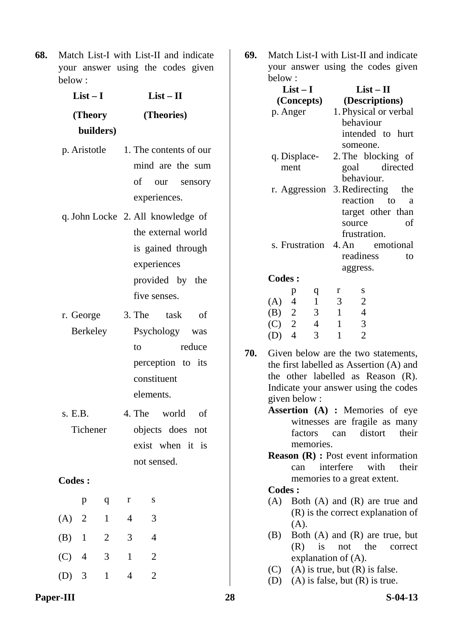**68.** Match List-I with List-II and indicate your answer using the codes given below :

| $List-I$              | $List-II$                                                                                                                      |
|-----------------------|--------------------------------------------------------------------------------------------------------------------------------|
| (Theory               | (Theories)                                                                                                                     |
| builders)             |                                                                                                                                |
| p. Aristotle          | 1. The contents of our<br>mind are the sum                                                                                     |
|                       | of our sensory<br>experiences.                                                                                                 |
|                       | q. John Locke 2. All knowledge of<br>the external world<br>is gained through<br>experiences<br>provided by the<br>five senses. |
| r. George<br>Berkeley | 3. The task<br>of<br>Psychology was<br>reduce<br>to<br>perception to its<br>constituent<br>elements.                           |
| s. E.B.<br>Tichener   | 4. The world of<br>objects does not                                                                                            |

Tichener objects does not exist when it is not sensed.

# **Codes :**

|         | р              | q              | r | S |
|---------|----------------|----------------|---|---|
| $(A)$ 2 |                | 1              | 4 | 3 |
| $(B)$ 1 |                | $\overline{2}$ | 3 | 4 |
| (C)     | $\overline{4}$ | 3              |   | 2 |
| (D) 3   |                | 1              |   |   |

**69.** Match List-I with List-II and indicate your answer using the codes given below :

|     | below:             |                      |                |                        |                                      |                                              |  |  |  |  |
|-----|--------------------|----------------------|----------------|------------------------|--------------------------------------|----------------------------------------------|--|--|--|--|
|     |                    | $List-I$             |                |                        | $List-II$                            |                                              |  |  |  |  |
|     |                    | (Concepts)           |                |                        | (Descriptions)                       |                                              |  |  |  |  |
|     |                    | p. Anger             |                |                        | 1. Physical or verbal                |                                              |  |  |  |  |
|     |                    |                      |                |                        | behaviour                            |                                              |  |  |  |  |
|     |                    |                      |                |                        | intended to hurt                     |                                              |  |  |  |  |
|     |                    |                      |                |                        | someone.                             |                                              |  |  |  |  |
|     |                    | q. Displace-         |                |                        | 2. The blocking of                   |                                              |  |  |  |  |
|     |                    | ment                 |                |                        | goal directed                        |                                              |  |  |  |  |
|     |                    |                      |                |                        | behaviour.                           |                                              |  |  |  |  |
|     |                    | r. Aggression        |                |                        | 3. Redirecting                       | the                                          |  |  |  |  |
|     |                    |                      |                |                        | reaction                             | $\mathbf{to}$<br>a                           |  |  |  |  |
|     |                    |                      |                |                        | target other than                    |                                              |  |  |  |  |
|     |                    |                      |                |                        | source                               | of                                           |  |  |  |  |
|     |                    |                      |                |                        | frustration.                         |                                              |  |  |  |  |
|     |                    | s. Frustration 4. An |                |                        |                                      | emotional                                    |  |  |  |  |
|     |                    |                      |                |                        | readiness                            | to                                           |  |  |  |  |
|     |                    |                      |                |                        |                                      |                                              |  |  |  |  |
|     |                    |                      |                |                        | aggress.                             |                                              |  |  |  |  |
|     | <b>Codes:</b>      |                      |                |                        |                                      |                                              |  |  |  |  |
|     |                    | p                    | q              | r                      | S                                    |                                              |  |  |  |  |
|     | $(A)$ 4            |                      | $\mathbf{1}$   | 3                      | $\frac{2}{4}$                        |                                              |  |  |  |  |
|     | (B) $2$<br>(C) $2$ |                      | 3              | $\mathbf{1}$           |                                      |                                              |  |  |  |  |
|     |                    |                      | $\overline{4}$ | $\mathbf{1}$           | 3                                    |                                              |  |  |  |  |
|     | $(D)$ 4            |                      | 3              | $\mathbf{1}$           | $\overline{2}$                       |                                              |  |  |  |  |
| 70. |                    |                      |                |                        |                                      | Given below are the two statements,          |  |  |  |  |
|     |                    |                      |                |                        |                                      | the first labelled as Assertion (A) and      |  |  |  |  |
|     |                    |                      |                |                        |                                      | the other labelled as Reason (R).            |  |  |  |  |
|     |                    |                      |                |                        |                                      | Indicate your answer using the codes         |  |  |  |  |
|     |                    | given below:         |                |                        |                                      |                                              |  |  |  |  |
|     |                    |                      |                |                        |                                      | Assertion (A) : Memories of eye              |  |  |  |  |
|     |                    |                      |                |                        |                                      |                                              |  |  |  |  |
|     |                    |                      |                |                        |                                      | witnesses are fragile as many                |  |  |  |  |
|     |                    |                      |                |                        | factors can distort                  | their                                        |  |  |  |  |
|     |                    |                      | memories.      |                        |                                      |                                              |  |  |  |  |
|     |                    |                      |                |                        |                                      | <b>Reason</b> $(R)$ : Post event information |  |  |  |  |
|     |                    | can                  |                | interfere              | with                                 | their                                        |  |  |  |  |
|     |                    |                      |                |                        | memories to a great extent.          |                                              |  |  |  |  |
|     | <b>Codes:</b>      |                      |                |                        |                                      |                                              |  |  |  |  |
|     | (A)                |                      |                |                        |                                      | Both $(A)$ and $(R)$ are true and            |  |  |  |  |
|     |                    |                      |                |                        |                                      | $(R)$ is the correct explanation of          |  |  |  |  |
|     |                    | (A).                 |                |                        |                                      |                                              |  |  |  |  |
|     | (B)                |                      |                |                        |                                      | Both $(A)$ and $(R)$ are true, but           |  |  |  |  |
|     |                    | (R)                  | is             | not                    | the                                  | correct                                      |  |  |  |  |
|     |                    |                      |                | explanation of $(A)$ . |                                      |                                              |  |  |  |  |
|     | (C)                |                      |                |                        | $(A)$ is true, but $(R)$ is false.   |                                              |  |  |  |  |
|     |                    |                      |                |                        | (D) (A) is false, but $(R)$ is true. |                                              |  |  |  |  |

**Paper-III** 28 S-04-13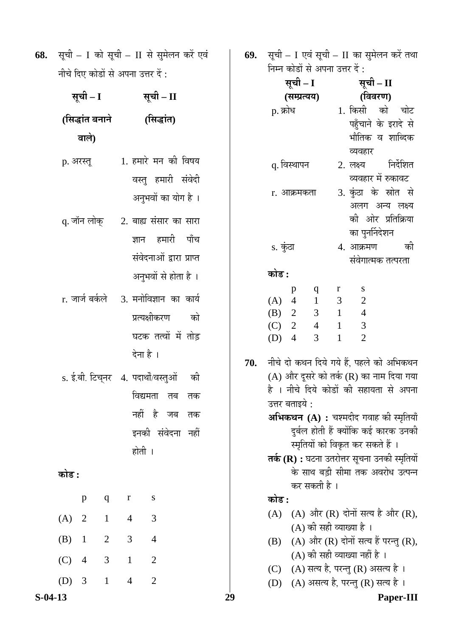| 69. सूची - I एवं सूची - II का सुमेलन करें तथा |
|-----------------------------------------------|
| निम्न कोडों से अपना उत्तर दें :               |

| नाष ।५ए फाडा स अपना उत्तर ५ :                                                     |                                     |                                     |                                                                                     |                      | सूची – I |     |                                                  |                                       | सूची – II                                |                                                                  |                                                                                                                                                                                                                                                                                            |           |    |
|-----------------------------------------------------------------------------------|-------------------------------------|-------------------------------------|-------------------------------------------------------------------------------------|----------------------|----------|-----|--------------------------------------------------|---------------------------------------|------------------------------------------|------------------------------------------------------------------|--------------------------------------------------------------------------------------------------------------------------------------------------------------------------------------------------------------------------------------------------------------------------------------------|-----------|----|
| सूची – I                                                                          |                                     |                                     | सूची – II                                                                           |                      |          |     |                                                  | (सम्प्रत्यय)                          |                                          |                                                                  | (विवरण)                                                                                                                                                                                                                                                                                    |           |    |
| (सिद्धांत बनाने<br>वाले)                                                          |                                     |                                     | (सिद्धांत)                                                                          |                      |          |     | p. क्रोध                                         |                                       |                                          |                                                                  | 1. किसी को चोट<br>पहुँचाने के इरादे से<br>भौतिक व शाब्दिक<br>व्यवहार                                                                                                                                                                                                                       |           |    |
| p. अरस्तू                                                                         |                                     |                                     | 1. हमारे मन की विषय<br>वस्तु हमारी संवेदी<br>अनुभवों का योग है।                     |                      |          |     |                                                  | q. विस्थापन<br>r. आक्रमकता            |                                          |                                                                  | 2. लक्ष्य<br>व्यवहार में रुकावट<br>3. कुंठा के स्रोत से<br>अलग अन्य लक्ष्य                                                                                                                                                                                                                 | निर्देशित |    |
| q. जॉन लोक्                                                                       |                                     | ज्ञान                               | 2. बाह्य संसार का सारा<br>हमारी<br>संवेदनाओं द्वारा प्राप्त<br>अनुभवों से होता है । | पाँच                 |          |     | s. कुंठा<br>कोड :                                |                                       |                                          |                                                                  | की ओर प्रतिक्रिया<br>का पुनर्निदेशन<br>4. आक्रमण<br>संवेगात्मक तत्परता                                                                                                                                                                                                                     |           | की |
| r. जार्ज बर्कले    3. मनोविज्ञान  का  कार्य<br>s. ई.बी. टिच्नर 4. पदार्थो/वस्तुओं |                                     | देना है ।<br>विद्यमता               | प्रत्यक्षीकरण<br>घटक तत्वों में तोड़<br>तब<br>नहीं है जब<br>इनकी संवेदना नहीं       | को<br>की<br>तक<br>तक |          | 70. | (A)<br>(B) 2<br>(C)<br>$(D)$ 4<br>उत्तर बताइये : | p<br>$\overline{4}$<br>$\overline{2}$ | $\mathbf{q}$<br>1<br>$\overline{4}$<br>3 | $\mathbf{r}$<br>3 <sup>7</sup><br>$\overline{1}$<br>$\mathbf{1}$ | S<br>$\overline{2}$<br>$3 \t1 \t4$<br>$\mathfrak{Z}$<br>$\overline{2}$<br>नीचे दो कथन दिये गये हैं, पहले को अभिकथन<br>(A) और दूसरे को तर्क (R) का नाम दिया गया<br>है । नीचे दिये कोडों की सहायता से अपना<br>अभिकथन (A) : चश्मदीद गवाह की स्मृतियाँ<br>दुर्बल होती हैं क्योंकि कई कारक उनकी |           |    |
| कोड :<br>$\mathbf{p}$<br>$\overline{2}$<br>(A)                                    | $\mathbf q$<br>$\mathbf{1}$         | होती ।<br>$\bf r$<br>$\overline{4}$ | S<br>$\mathfrak{Z}$                                                                 |                      |          |     | कोड :<br>(A)                                     |                                       | कर सकती है ।                             |                                                                  | स्मृतियों को विकृत कर सकते हैं ।<br>तर्क (R) : घटना उतरोत्तर सूचना उनकी स्मृतियों<br>के साथ बड़ी सीमा तक अवरोध उत्पन्न<br>(A) और (R) दोनों सत्य है और (R),<br>(A) की सही व्याख्या है ।                                                                                                     |           |    |
| (B)<br>$\mathbf{1}$<br>(C)<br>$\overline{4}$<br>(D)<br>3                          | $\overline{2}$<br>3<br>$\mathbf{1}$ | 3<br>$\mathbf{1}$<br>$\overline{4}$ | $\overline{4}$<br>$\overline{2}$<br>$\mathfrak{2}$                                  |                      |          |     | (B)<br>(C)                                       |                                       |                                          |                                                                  | (A) और (R) दोनों सत्य हैं परन्तु (R),<br>(A) की सही व्याख्या नहीं है ।<br>(A) सत्य है, परन्तु (R) असत्य है।<br>(D) (A) असत्य है, परन्तु (R) सत्य है।                                                                                                                                       |           |    |
| $S-04-13$                                                                         |                                     |                                     |                                                                                     |                      | 29       |     |                                                  |                                       |                                          |                                                                  |                                                                                                                                                                                                                                                                                            | Paper-III |    |

68. सूची – I को सूची – II से सुमेलन करें एवं नीचे दिए कोडों से अपना उत्तर दें :

| सूची – I                              | सूची – II                                   |  |  |  |  |
|---------------------------------------|---------------------------------------------|--|--|--|--|
| (सिद्धांत बनाने                       | (सिद्धांत)                                  |  |  |  |  |
| वाले)                                 |                                             |  |  |  |  |
| p. अरस्तू                             | 1. हमारे मन की विषय                         |  |  |  |  |
|                                       | वस्तु हमारी संवेदी                          |  |  |  |  |
|                                       | अनुभवों का योग है ।                         |  |  |  |  |
| q. जॉन लोक्                           | 2. बाह्य संसार का सारा                      |  |  |  |  |
|                                       | ज्ञान हमारी पाँच                            |  |  |  |  |
|                                       | संवेदनाओं द्वारा प्राप्त                    |  |  |  |  |
|                                       | अनुभवों से होता है ।                        |  |  |  |  |
|                                       | r. जार्ज बर्कले    3. मनोविज्ञान  का  कार्य |  |  |  |  |
|                                       | प्रत्यक्षीकरण को                            |  |  |  |  |
|                                       | घटक तत्वों में तोड़                         |  |  |  |  |
|                                       | देना है ।                                   |  |  |  |  |
|                                       | s. ई.बी. टिच्नर 4. पदार्थों/वस्तुओं की      |  |  |  |  |
|                                       | विद्यमता तब तक                              |  |  |  |  |
|                                       | नहीं है जब तक                               |  |  |  |  |
|                                       | इनकी संवेदना नहीं                           |  |  |  |  |
|                                       | होती ।                                      |  |  |  |  |
| कोड :                                 |                                             |  |  |  |  |
| $\mathbf{q}$<br>p                     | $\mathbf r$<br>S                            |  |  |  |  |
| (A)<br>$\overline{2}$<br>$\mathbf{1}$ | $\overline{4}$<br>3                         |  |  |  |  |
| (B)<br>$\mathbf{1}$<br>$\mathbf{2}$   | $\overline{4}$<br>3                         |  |  |  |  |
| (C)<br>$\overline{4}$<br>3            | $\overline{c}$<br>$\mathbf{1}$              |  |  |  |  |
| (D)<br>3<br>$\mathbf{1}$              | $\overline{2}$<br>$\overline{4}$            |  |  |  |  |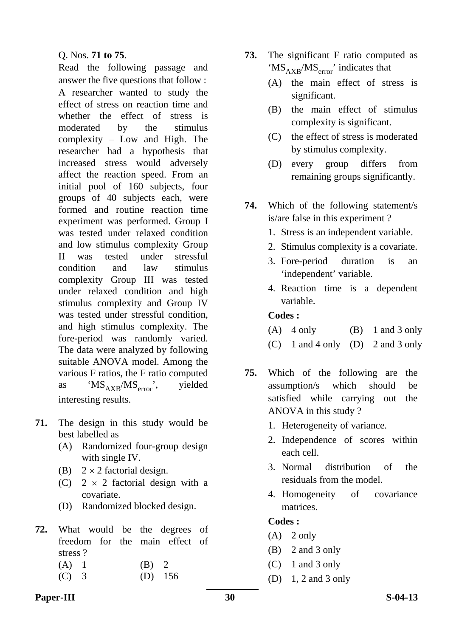## Q. Nos. **71 to 75**.

 Read the following passage and answer the five questions that follow : A researcher wanted to study the effect of stress on reaction time and whether the effect of stress is moderated by the stimulus complexity – Low and High. The researcher had a hypothesis that increased stress would adversely affect the reaction speed. From an initial pool of 160 subjects, four groups of 40 subjects each, were formed and routine reaction time experiment was performed. Group I was tested under relaxed condition and low stimulus complexity Group II was tested under stressful condition and law stimulus complexity Group III was tested under relaxed condition and high stimulus complexity and Group IV was tested under stressful condition, and high stimulus complexity. The fore-period was randomly varied. The data were analyzed by following suitable ANOVA model. Among the various F ratios, the F ratio computed as ' $MS_{AXB}/MS_{error}$ ', yielded interesting results.

- **71.** The design in this study would be best labelled as
	- (A) Randomized four-group design with single IV.
	- (B)  $2 \times 2$  factorial design.
	- (C)  $2 \times 2$  factorial design with a covariate.
	- (D) Randomized blocked design.
- **72.** What would be the degrees of freedom for the main effect of stress ?
	- $(A)$  1 (B) 2
	- (C) 3 (D) 156
- **73.** The significant F ratio computed as ' $MS_{AYB}/MS_{error}$ ' indicates that
	- (A) the main effect of stress is significant.
	- (B) the main effect of stimulus complexity is significant.
	- (C) the effect of stress is moderated by stimulus complexity.
	- (D) every group differs from remaining groups significantly.
- **74.** Which of the following statement/s is/are false in this experiment ?
	- 1. Stress is an independent variable.
	- 2. Stimulus complexity is a covariate.
	- 3. Fore-period duration is an 'independent' variable.
	- 4. Reaction time is a dependent variable.

## **Codes :**

- (A)  $4 \text{ only}$  (B)  $1 \text{ and } 3 \text{ only}$
- (C) 1 and 4 only (D) 2 and 3 only
- **75.** Which of the following are the assumption/s which should be satisfied while carrying out the ANOVA in this study ?
	- 1. Heterogeneity of variance.
	- 2. Independence of scores within each cell.
	- 3. Normal distribution of the residuals from the model.
	- 4. Homogeneity of covariance matrices.

# **Codes :**

- $(A)$  2 only
- (B) 2 and 3 only
- (C) 1 and 3 only
- (D) 1, 2 and 3 only

# **Paper-III** S-04-13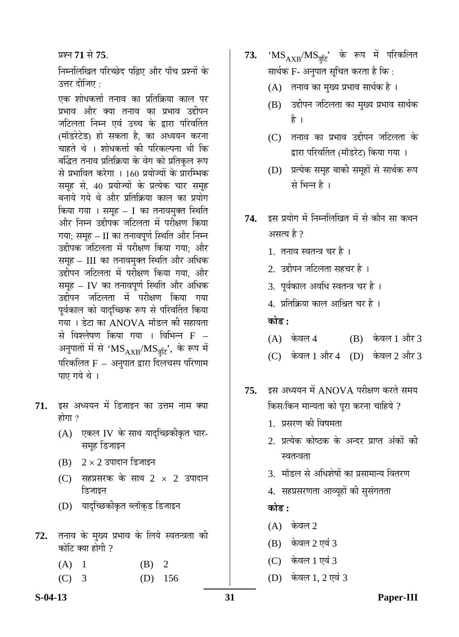प्रश्न 71 से 75.

निम्नलिखित परिच्छेद पढिए और पाँच प्रश्नों के उत्तर दीजिए  $\cdot$ 

एक शोधकर्त्ता तनाव का प्रतिक्रिया काल पर प्रभाव और क्या तनाव का प्रभाव उद्दीपन जटिलता निम्न एवं उच्च के द्वारा परिवर्तित (मॉडरेटेड) हो सकता है, का अध्ययन करना चाहते थे । शोधकर्त्ता की परिकल्पना थी कि बर्द्धित तनाव प्रतिक्रिया के वेग को प्रतिकृल रूप से प्रभावित करेगा । 160 प्रयोज्यों के प्रारम्भिक समूह से, 40 प्रयोज्यों के प्रत्येक चार समूह बनाये गये थे और प्रतिक्रिया काल का प्रयोग किया गया । समूह $-$  I का तनावमुक्त स्थिति ओर निम्न उद्दीपक जटिलता में परीक्षण किया गया; समूह – II का तनावपूर्ण स्थिति और निम्न उद्दीपक जटिलता में परीक्षण किया गया; और समह – III का तनावमुक्त स्थिति और अधिक उद्दीपन जटिलता में परीक्षण किया गया, और समूह – IV का तनावपूर्ण स्थिति और अधिक उद्दीपन जटिलता में परीक्षण किया गया पूर्वकाल को यादच्छिक रूप से परिवर्तित किया गया । डेटा का ANOVA मॉडल की सहायता से विश्लेषण किया गया । विभिन्न  $\rm F$  – अनुपातों में से ' $\mathrm{MS}_{\mathrm{AXB}}/\mathrm{MS}_{\mathrm{\overline{36}}},$  के रूप में परिकलित $F - 3$ नृपात द्वारा दिलचस्प परिणाम पाए गये थे।

- 71. इस अध्ययन में डिजाइन का उत्तम नाम क्या होगा $\gamma$ 
	- $(A)$  एकल IV के साथ यादन्छिकीकृत चार-समह डिजाइन
	- $(B)$  2 × 2 उपादान डिजाइन
	- $(C)$  सहप्रसरक के साथ 2  $\times$  2 उपादान डिजाइन
	- (D) यादच्छिकीकृत ब्लॉकुड डिजाइन
- 72. तनाव के मुख्य प्रभाव के लिये स्वतन्त्रता की कोटि क्या होगी  $\overline{\partial}$

| (A) 1   | $(B)$ 2 |           |
|---------|---------|-----------|
| $(C)$ 3 |         | $(D)$ 156 |

- **73. '** $\text{MS}_{\text{AXB}}/\text{MS}_{\overline{a}\overline{b}}$ **'** के रूप में परिकलित सार्थक F- अनुपात सुचित करता है कि:
	- $(A)$  तनाव का मुख्य प्रभाव सार्थक है।
	- (B) उद्दीपन जटिलता का मुख्य प्रभाव सार्थक है ।
	- $(C)$  तनाव का प्रभाव उद्दीपन जटिलता के द्वारा परिवर्तित (मॉडरेट) किया गया ।
	- (D) प्रत्येक समूह बाकी समूहों से सार्थक रूप से भिन्न है ।
- 74. इस प्रयोग में निम्नलिखित में से कौन सा कथन आसत्य है $\vartheta$ 
	- 1. तनाव स्वतन्त्र चर है ।
	- 2. उद्दीपन जटिलता सहचर है ।
	- 3. पर्वकाल अवधि स्वतन्त्र चर है।
	- 4. प्रतिक्रिया काल आश्रित चर है।

# **कोड़ :**

- (A) केवल 4 (B) केवल 1 और 3
- $(C)$  केवल 1 और 4  $(D)$  केवल 2 और 3
- 75. इस अध्ययन में ANOVA परीक्षण करते समय किस/किन मान्यता को पूरा करना चाहिये ?
	- 1. प्रसरण की विषमता
	- 2. प्रत्येक कोष्ठक के अन्दर प्राप्त अंकों की स्वतन्त्रता
	- 3. मॉडल से अधिशेषों का प्रसामान्य वितरण
	- 4. सहप्रसरणता आव्यूहों की सुसंगतता

**कोड :** 

- $(A)$  केवल 2
- $(B)$  केवल 2 एवं 3
- (C) केवल 1 एवं 3
- $(D)$  केवल 1, 2 एवं 3